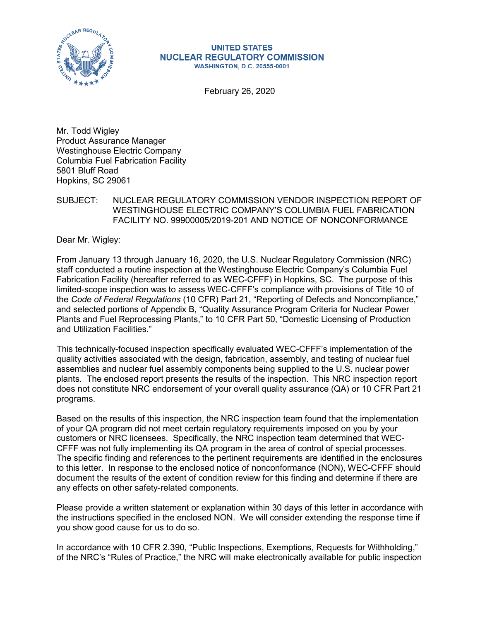

#### **UNITED STATES NUCLEAR REGULATORY COMMISSION WASHINGTON, D.C. 20555-0001**

February 26, 2020

Mr. Todd Wigley Product Assurance Manager Westinghouse Electric Company Columbia Fuel Fabrication Facility 5801 Bluff Road Hopkins, SC 29061

# SUBJECT: NUCLEAR REGULATORY COMMISSION VENDOR INSPECTION REPORT OF WESTINGHOUSE ELECTRIC COMPANY'S COLUMBIA FUEL FABRICATION FACILITY NO. 99900005/2019-201 AND NOTICE OF NONCONFORMANCE

Dear Mr. Wigley:

From January 13 through January 16, 2020, the U.S. Nuclear Regulatory Commission (NRC) staff conducted a routine inspection at the Westinghouse Electric Company's Columbia Fuel Fabrication Facility (hereafter referred to as WEC-CFFF) in Hopkins, SC. The purpose of this limited-scope inspection was to assess WEC-CFFF's compliance with provisions of Title 10 of the *Code of Federal Regulations* (10 CFR) Part 21, "Reporting of Defects and Noncompliance," and selected portions of Appendix B, "Quality Assurance Program Criteria for Nuclear Power Plants and Fuel Reprocessing Plants," to 10 CFR Part 50, "Domestic Licensing of Production and Utilization Facilities."

This technically-focused inspection specifically evaluated WEC-CFFF's implementation of the quality activities associated with the design, fabrication, assembly, and testing of nuclear fuel assemblies and nuclear fuel assembly components being supplied to the U.S. nuclear power plants. The enclosed report presents the results of the inspection. This NRC inspection report does not constitute NRC endorsement of your overall quality assurance (QA) or 10 CFR Part 21 programs.

Based on the results of this inspection, the NRC inspection team found that the implementation of your QA program did not meet certain regulatory requirements imposed on you by your customers or NRC licensees. Specifically, the NRC inspection team determined that WEC-CFFF was not fully implementing its QA program in the area of control of special processes. The specific finding and references to the pertinent requirements are identified in the enclosures to this letter. In response to the enclosed notice of nonconformance (NON), WEC-CFFF should document the results of the extent of condition review for this finding and determine if there are any effects on other safety-related components.

Please provide a written statement or explanation within 30 days of this letter in accordance with the instructions specified in the enclosed NON. We will consider extending the response time if you show good cause for us to do so.

In accordance with 10 CFR 2.390, "Public Inspections, Exemptions, Requests for Withholding," of the NRC's "Rules of Practice," the NRC will make electronically available for public inspection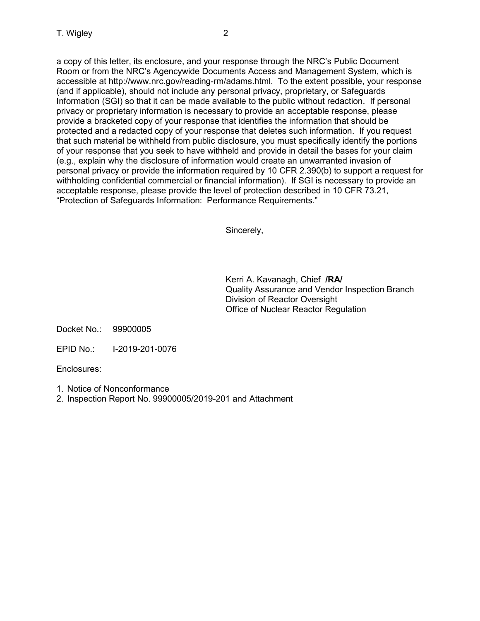a copy of this letter, its enclosure, and your response through the NRC's Public Document Room or from the NRC's Agencywide Documents Access and Management System, which is accessible at http://www.nrc.gov/reading-rm/adams.html. To the extent possible, your response (and if applicable), should not include any personal privacy, proprietary, or Safeguards Information (SGI) so that it can be made available to the public without redaction. If personal privacy or proprietary information is necessary to provide an acceptable response, please provide a bracketed copy of your response that identifies the information that should be protected and a redacted copy of your response that deletes such information. If you request that such material be withheld from public disclosure, you must specifically identify the portions of your response that you seek to have withheld and provide in detail the bases for your claim (e.g., explain why the disclosure of information would create an unwarranted invasion of personal privacy or provide the information required by 10 CFR 2.390(b) to support a request for withholding confidential commercial or financial information). If SGI is necessary to provide an acceptable response, please provide the level of protection described in 10 CFR 73.21, "Protection of Safeguards Information: Performance Requirements."

Sincerely,

Kerri A. Kavanagh, Chief **/RA/** Quality Assurance and Vendor Inspection Branch Division of Reactor Oversight Office of Nuclear Reactor Regulation

Docket No.: 99900005

EPID No.: I-2019-201-0076

Enclosures:

- 1. Notice of Nonconformance
- 2. Inspection Report No. 99900005/2019-201 and Attachment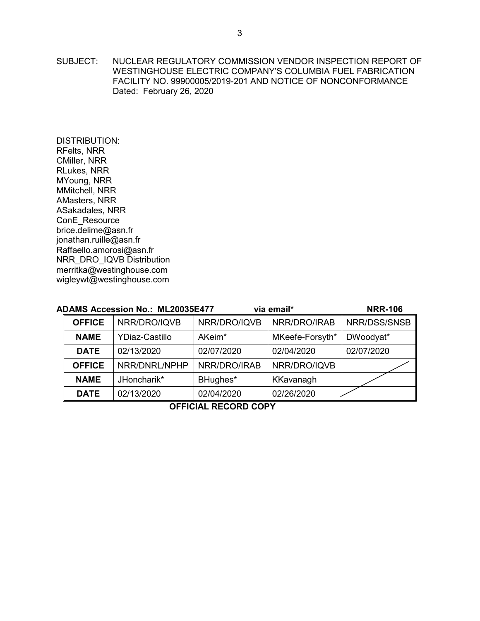SUBJECT: NUCLEAR REGULATORY COMMISSION VENDOR INSPECTION REPORT OF WESTINGHOUSE ELECTRIC COMPANY'S COLUMBIA FUEL FABRICATION FACILITY NO. 99900005/2019-201 AND NOTICE OF NONCONFORMANCE Dated: February 26, 2020

DISTRIBUTION: RFelts, NRR CMiller, NRR RLukes, NRR MYoung, NRR MMitchell, NRR AMasters, NRR ASakadales, NRR ConE\_Resource brice.delime@asn.fr jonathan.ruille@asn.fr Raffaello.amorosi@asn.fr NRR\_DRO\_IQVB Distribution merritka@westinghouse.com wigleywt@westinghouse.com

| <b>ADAMS Accession No.: ML20035E477</b> | <b>NRR-106</b>        |                    |                 |              |  |  |  |
|-----------------------------------------|-----------------------|--------------------|-----------------|--------------|--|--|--|
| NRR/DRO/IQVB<br><b>OFFICE</b>           |                       | NRR/DRO/IQVB       | NRR/DRO/IRAB    | NRR/DSS/SNSB |  |  |  |
| <b>NAME</b>                             | <b>YDiaz-Castillo</b> | AKeim <sup>*</sup> | MKeefe-Forsyth* | DWoodyat*    |  |  |  |
| <b>DATE</b>                             | 02/13/2020            | 02/07/2020         | 02/04/2020      | 02/07/2020   |  |  |  |
| <b>OFFICE</b>                           | NRR/DNRL/NPHP         | NRR/DRO/IRAB       | NRR/DRO/IQVB    |              |  |  |  |
| <b>NAME</b>                             | JHoncharik*           | BHughes*           | KKavanagh       |              |  |  |  |
| <b>DATE</b>                             | 02/13/2020            | 02/04/2020         | 02/26/2020      |              |  |  |  |
|                                         |                       |                    |                 |              |  |  |  |

**OFFICIAL RECORD COPY**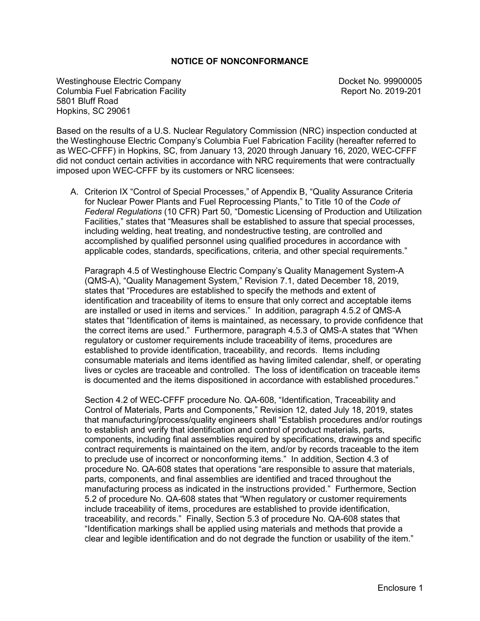### **NOTICE OF NONCONFORMANCE**

Westinghouse Electric Company Docket No. 99900005<br>Columbia Fuel Fabrication Facility Report No. 2019-201 Columbia Fuel Fabrication Facility 5801 Bluff Road Hopkins, SC 29061

Based on the results of a U.S. Nuclear Regulatory Commission (NRC) inspection conducted at the Westinghouse Electric Company's Columbia Fuel Fabrication Facility (hereafter referred to as WEC-CFFF) in Hopkins, SC, from January 13, 2020 through January 16, 2020, WEC-CFFF did not conduct certain activities in accordance with NRC requirements that were contractually imposed upon WEC-CFFF by its customers or NRC licensees:

A. Criterion IX "Control of Special Processes," of Appendix B, "Quality Assurance Criteria for Nuclear Power Plants and Fuel Reprocessing Plants," to Title 10 of the *Code of Federal Regulations* (10 CFR) Part 50, "Domestic Licensing of Production and Utilization Facilities," states that "Measures shall be established to assure that special processes, including welding, heat treating, and nondestructive testing, are controlled and accomplished by qualified personnel using qualified procedures in accordance with applicable codes, standards, specifications, criteria, and other special requirements."

Paragraph 4.5 of Westinghouse Electric Company's Quality Management System-A (QMS-A), "Quality Management System," Revision 7.1, dated December 18, 2019, states that "Procedures are established to specify the methods and extent of identification and traceability of items to ensure that only correct and acceptable items are installed or used in items and services." In addition, paragraph 4.5.2 of QMS-A states that "Identification of items is maintained, as necessary, to provide confidence that the correct items are used." Furthermore, paragraph 4.5.3 of QMS-A states that "When regulatory or customer requirements include traceability of items, procedures are established to provide identification, traceability, and records. Items including consumable materials and items identified as having limited calendar, shelf, or operating lives or cycles are traceable and controlled. The loss of identification on traceable items is documented and the items dispositioned in accordance with established procedures."

Section 4.2 of WEC-CFFF procedure No. QA-608, "Identification, Traceability and Control of Materials, Parts and Components," Revision 12, dated July 18, 2019, states that manufacturing/process/quality engineers shall "Establish procedures and/or routings to establish and verify that identification and control of product materials, parts, components, including final assemblies required by specifications, drawings and specific contract requirements is maintained on the item, and/or by records traceable to the item to preclude use of incorrect or nonconforming items." In addition, Section 4.3 of procedure No. QA-608 states that operations "are responsible to assure that materials, parts, components, and final assemblies are identified and traced throughout the manufacturing process as indicated in the instructions provided." Furthermore, Section 5.2 of procedure No. QA-608 states that "When regulatory or customer requirements include traceability of items, procedures are established to provide identification, traceability, and records." Finally, Section 5.3 of procedure No. QA-608 states that "Identification markings shall be applied using materials and methods that provide a clear and legible identification and do not degrade the function or usability of the item."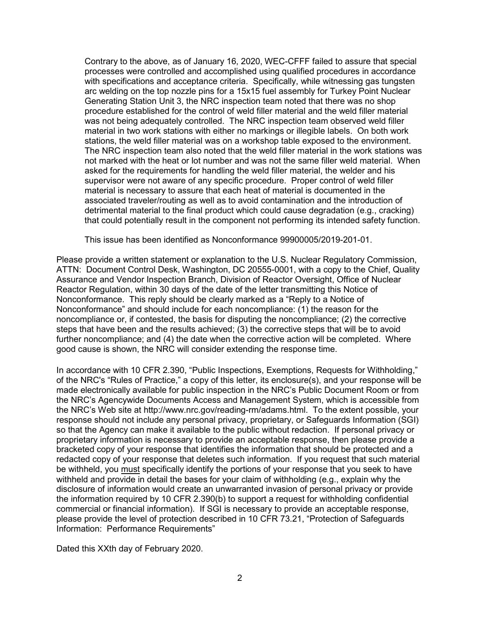Contrary to the above, as of January 16, 2020, WEC-CFFF failed to assure that special processes were controlled and accomplished using qualified procedures in accordance with specifications and acceptance criteria. Specifically, while witnessing gas tungsten arc welding on the top nozzle pins for a 15x15 fuel assembly for Turkey Point Nuclear Generating Station Unit 3, the NRC inspection team noted that there was no shop procedure established for the control of weld filler material and the weld filler material was not being adequately controlled. The NRC inspection team observed weld filler material in two work stations with either no markings or illegible labels. On both work stations, the weld filler material was on a workshop table exposed to the environment. The NRC inspection team also noted that the weld filler material in the work stations was not marked with the heat or lot number and was not the same filler weld material. When asked for the requirements for handling the weld filler material, the welder and his supervisor were not aware of any specific procedure. Proper control of weld filler material is necessary to assure that each heat of material is documented in the associated traveler/routing as well as to avoid contamination and the introduction of detrimental material to the final product which could cause degradation (e.g., cracking) that could potentially result in the component not performing its intended safety function.

This issue has been identified as Nonconformance 99900005/2019-201-01.

Please provide a written statement or explanation to the U.S. Nuclear Regulatory Commission, ATTN: Document Control Desk, Washington, DC 20555-0001, with a copy to the Chief, Quality Assurance and Vendor Inspection Branch, Division of Reactor Oversight, Office of Nuclear Reactor Regulation, within 30 days of the date of the letter transmitting this Notice of Nonconformance. This reply should be clearly marked as a "Reply to a Notice of Nonconformance" and should include for each noncompliance: (1) the reason for the noncompliance or, if contested, the basis for disputing the noncompliance; (2) the corrective steps that have been and the results achieved; (3) the corrective steps that will be to avoid further noncompliance; and (4) the date when the corrective action will be completed. Where good cause is shown, the NRC will consider extending the response time.

In accordance with 10 CFR 2.390, "Public Inspections, Exemptions, Requests for Withholding," of the NRC's "Rules of Practice," a copy of this letter, its enclosure(s), and your response will be made electronically available for public inspection in the NRC's Public Document Room or from the NRC's Agencywide Documents Access and Management System, which is accessible from the NRC's Web site at http://www.nrc.gov/reading-rm/adams.html. To the extent possible, your response should not include any personal privacy, proprietary, or Safeguards Information (SGI) so that the Agency can make it available to the public without redaction. If personal privacy or proprietary information is necessary to provide an acceptable response, then please provide a bracketed copy of your response that identifies the information that should be protected and a redacted copy of your response that deletes such information. If you request that such material be withheld, you must specifically identify the portions of your response that you seek to have withheld and provide in detail the bases for your claim of withholding (e.g., explain why the disclosure of information would create an unwarranted invasion of personal privacy or provide the information required by 10 CFR 2.390(b) to support a request for withholding confidential commercial or financial information). If SGI is necessary to provide an acceptable response, please provide the level of protection described in 10 CFR 73.21, "Protection of Safeguards Information: Performance Requirements"

Dated this XXth day of February 2020.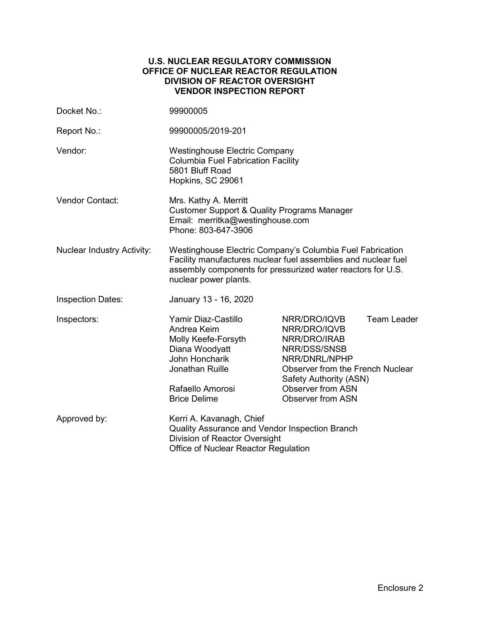### **U.S. NUCLEAR REGULATORY COMMISSION OFFICE OF NUCLEAR REACTOR REGULATION DIVISION OF REACTOR OVERSIGHT VENDOR INSPECTION REPORT**

| Docket No.:                       | 99900005                                                                                                                                                                                                            |                                                                                                                                                                                                     |                    |  |  |
|-----------------------------------|---------------------------------------------------------------------------------------------------------------------------------------------------------------------------------------------------------------------|-----------------------------------------------------------------------------------------------------------------------------------------------------------------------------------------------------|--------------------|--|--|
| Report No.:                       | 99900005/2019-201                                                                                                                                                                                                   |                                                                                                                                                                                                     |                    |  |  |
| Vendor:                           | <b>Westinghouse Electric Company</b><br><b>Columbia Fuel Fabrication Facility</b><br>5801 Bluff Road<br>Hopkins, SC 29061                                                                                           |                                                                                                                                                                                                     |                    |  |  |
| <b>Vendor Contact:</b>            | Mrs. Kathy A. Merritt<br><b>Customer Support &amp; Quality Programs Manager</b><br>Email: merritka@westinghouse.com<br>Phone: 803-647-3906                                                                          |                                                                                                                                                                                                     |                    |  |  |
| <b>Nuclear Industry Activity:</b> | Westinghouse Electric Company's Columbia Fuel Fabrication<br>Facility manufactures nuclear fuel assemblies and nuclear fuel<br>assembly components for pressurized water reactors for U.S.<br>nuclear power plants. |                                                                                                                                                                                                     |                    |  |  |
| <b>Inspection Dates:</b>          | January 13 - 16, 2020                                                                                                                                                                                               |                                                                                                                                                                                                     |                    |  |  |
| Inspectors:                       | Yamir Diaz-Castillo<br>Andrea Keim<br>Molly Keefe-Forsyth<br>Diana Woodyatt<br>John Honcharik<br>Jonathan Ruille<br>Rafaello Amorosi<br><b>Brice Delime</b>                                                         | NRR/DRO/IQVB<br>NRR/DRO/IQVB<br>NRR/DRO/IRAB<br>NRR/DSS/SNSB<br>NRR/DNRL/NPHP<br>Observer from the French Nuclear<br>Safety Authority (ASN)<br><b>Observer from ASN</b><br><b>Observer from ASN</b> | <b>Team Leader</b> |  |  |
| Approved by:                      | Kerri A. Kavanagh, Chief<br>Quality Assurance and Vendor Inspection Branch<br>Division of Reactor Oversight<br>Office of Nuclear Reactor Regulation                                                                 |                                                                                                                                                                                                     |                    |  |  |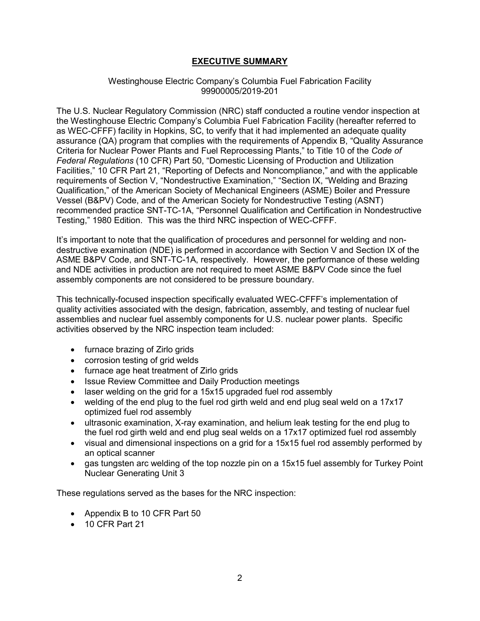# **EXECUTIVE SUMMARY**

#### Westinghouse Electric Company's Columbia Fuel Fabrication Facility 99900005/2019-201

The U.S. Nuclear Regulatory Commission (NRC) staff conducted a routine vendor inspection at the Westinghouse Electric Company's Columbia Fuel Fabrication Facility (hereafter referred to as WEC-CFFF) facility in Hopkins, SC, to verify that it had implemented an adequate quality assurance (QA) program that complies with the requirements of Appendix B, "Quality Assurance Criteria for Nuclear Power Plants and Fuel Reprocessing Plants," to Title 10 of the *Code of Federal Regulations* (10 CFR) Part 50, "Domestic Licensing of Production and Utilization Facilities," 10 CFR Part 21, "Reporting of Defects and Noncompliance," and with the applicable requirements of Section V, "Nondestructive Examination," "Section IX, "Welding and Brazing Qualification," of the American Society of Mechanical Engineers (ASME) Boiler and Pressure Vessel (B&PV) Code, and of the American Society for Nondestructive Testing (ASNT) recommended practice SNT-TC-1A, "Personnel Qualification and Certification in Nondestructive Testing," 1980 Edition. This was the third NRC inspection of WEC-CFFF.

It's important to note that the qualification of procedures and personnel for welding and nondestructive examination (NDE) is performed in accordance with Section V and Section IX of the ASME B&PV Code, and SNT-TC-1A, respectively. However, the performance of these welding and NDE activities in production are not required to meet ASME B&PV Code since the fuel assembly components are not considered to be pressure boundary.

This technically-focused inspection specifically evaluated WEC-CFFF's implementation of quality activities associated with the design, fabrication, assembly, and testing of nuclear fuel assemblies and nuclear fuel assembly components for U.S. nuclear power plants. Specific activities observed by the NRC inspection team included:

- furnace brazing of Zirlo grids
- corrosion testing of grid welds
- furnace age heat treatment of Zirlo grids
- Issue Review Committee and Daily Production meetings
- laser welding on the grid for a 15x15 upgraded fuel rod assembly
- welding of the end plug to the fuel rod girth weld and end plug seal weld on a 17x17 optimized fuel rod assembly
- ultrasonic examination, X-ray examination, and helium leak testing for the end plug to the fuel rod girth weld and end plug seal welds on a 17x17 optimized fuel rod assembly
- visual and dimensional inspections on a grid for a 15x15 fuel rod assembly performed by an optical scanner
- gas tungsten arc welding of the top nozzle pin on a 15x15 fuel assembly for Turkey Point Nuclear Generating Unit 3

These regulations served as the bases for the NRC inspection:

- Appendix B to 10 CFR Part 50
- 10 CFR Part 21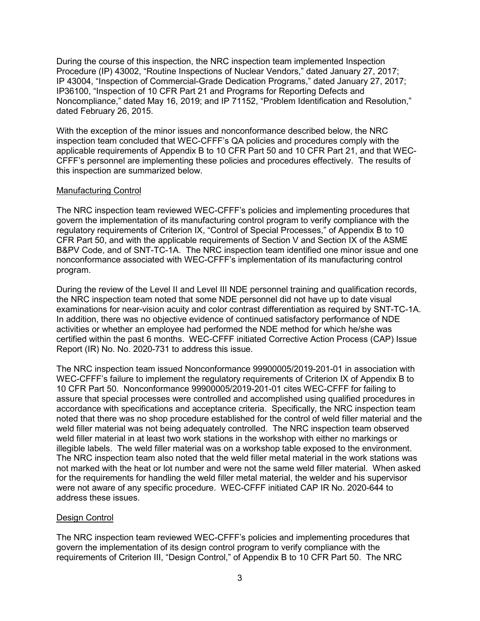During the course of this inspection, the NRC inspection team implemented Inspection Procedure (IP) 43002, "Routine Inspections of Nuclear Vendors," dated January 27, 2017; IP 43004, "Inspection of Commercial-Grade Dedication Programs," dated January 27, 2017; IP36100, "Inspection of 10 CFR Part 21 and Programs for Reporting Defects and Noncompliance," dated May 16, 2019; and IP 71152, "Problem Identification and Resolution," dated February 26, 2015.

With the exception of the minor issues and nonconformance described below, the NRC inspection team concluded that WEC-CFFF's QA policies and procedures comply with the applicable requirements of Appendix B to 10 CFR Part 50 and 10 CFR Part 21, and that WEC-CFFF's personnel are implementing these policies and procedures effectively. The results of this inspection are summarized below.

### Manufacturing Control

The NRC inspection team reviewed WEC-CFFF's policies and implementing procedures that govern the implementation of its manufacturing control program to verify compliance with the regulatory requirements of Criterion IX, "Control of Special Processes," of Appendix B to 10 CFR Part 50, and with the applicable requirements of Section V and Section IX of the ASME B&PV Code, and of SNT-TC-1A. The NRC inspection team identified one minor issue and one nonconformance associated with WEC-CFFF's implementation of its manufacturing control program.

During the review of the Level II and Level III NDE personnel training and qualification records, the NRC inspection team noted that some NDE personnel did not have up to date visual examinations for near-vision acuity and color contrast differentiation as required by SNT-TC-1A. In addition, there was no objective evidence of continued satisfactory performance of NDE activities or whether an employee had performed the NDE method for which he/she was certified within the past 6 months. WEC-CFFF initiated Corrective Action Process (CAP) Issue Report (IR) No. No. 2020-731 to address this issue.

The NRC inspection team issued Nonconformance 99900005/2019-201-01 in association with WEC-CFFF's failure to implement the regulatory requirements of Criterion IX of Appendix B to 10 CFR Part 50. Nonconformance 99900005/2019-201-01 cites WEC-CFFF for failing to assure that special processes were controlled and accomplished using qualified procedures in accordance with specifications and acceptance criteria. Specifically, the NRC inspection team noted that there was no shop procedure established for the control of weld filler material and the weld filler material was not being adequately controlled. The NRC inspection team observed weld filler material in at least two work stations in the workshop with either no markings or illegible labels. The weld filler material was on a workshop table exposed to the environment. The NRC inspection team also noted that the weld filler metal material in the work stations was not marked with the heat or lot number and were not the same weld filler material. When asked for the requirements for handling the weld filler metal material, the welder and his supervisor were not aware of any specific procedure. WEC-CFFF initiated CAP IR No. 2020-644 to address these issues.

#### Design Control

The NRC inspection team reviewed WEC-CFFF's policies and implementing procedures that govern the implementation of its design control program to verify compliance with the requirements of Criterion III, "Design Control," of Appendix B to 10 CFR Part 50. The NRC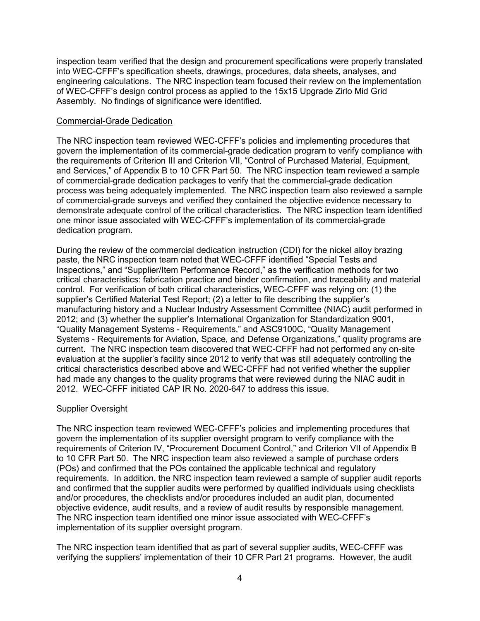inspection team verified that the design and procurement specifications were properly translated into WEC-CFFF's specification sheets, drawings, procedures, data sheets, analyses, and engineering calculations. The NRC inspection team focused their review on the implementation of WEC-CFFF's design control process as applied to the 15x15 Upgrade Zirlo Mid Grid Assembly. No findings of significance were identified.

### Commercial-Grade Dedication

The NRC inspection team reviewed WEC-CFFF's policies and implementing procedures that govern the implementation of its commercial-grade dedication program to verify compliance with the requirements of Criterion III and Criterion VII, "Control of Purchased Material, Equipment, and Services," of Appendix B to 10 CFR Part 50. The NRC inspection team reviewed a sample of commercial-grade dedication packages to verify that the commercial-grade dedication process was being adequately implemented. The NRC inspection team also reviewed a sample of commercial-grade surveys and verified they contained the objective evidence necessary to demonstrate adequate control of the critical characteristics. The NRC inspection team identified one minor issue associated with WEC-CFFF's implementation of its commercial-grade dedication program.

During the review of the commercial dedication instruction (CDI) for the nickel alloy brazing paste, the NRC inspection team noted that WEC-CFFF identified "Special Tests and Inspections," and "Supplier/Item Performance Record," as the verification methods for two critical characteristics: fabrication practice and binder confirmation, and traceability and material control. For verification of both critical characteristics, WEC-CFFF was relying on: (1) the supplier's Certified Material Test Report; (2) a letter to file describing the supplier's manufacturing history and a Nuclear Industry Assessment Committee (NIAC) audit performed in 2012; and (3) whether the supplier's International Organization for Standardization 9001, "Quality Management Systems - Requirements," and ASC9100C, "Quality Management Systems - Requirements for Aviation, Space, and Defense Organizations," quality programs are current. The NRC inspection team discovered that WEC-CFFF had not performed any on-site evaluation at the supplier's facility since 2012 to verify that was still adequately controlling the critical characteristics described above and WEC-CFFF had not verified whether the supplier had made any changes to the quality programs that were reviewed during the NIAC audit in 2012. WEC-CFFF initiated CAP IR No. 2020-647 to address this issue.

# Supplier Oversight

The NRC inspection team reviewed WEC-CFFF's policies and implementing procedures that govern the implementation of its supplier oversight program to verify compliance with the requirements of Criterion IV, "Procurement Document Control," and Criterion VII of Appendix B to 10 CFR Part 50. The NRC inspection team also reviewed a sample of purchase orders (POs) and confirmed that the POs contained the applicable technical and regulatory requirements. In addition, the NRC inspection team reviewed a sample of supplier audit reports and confirmed that the supplier audits were performed by qualified individuals using checklists and/or procedures, the checklists and/or procedures included an audit plan, documented objective evidence, audit results, and a review of audit results by responsible management. The NRC inspection team identified one minor issue associated with WEC-CFFF's implementation of its supplier oversight program.

The NRC inspection team identified that as part of several supplier audits, WEC-CFFF was verifying the suppliers' implementation of their 10 CFR Part 21 programs. However, the audit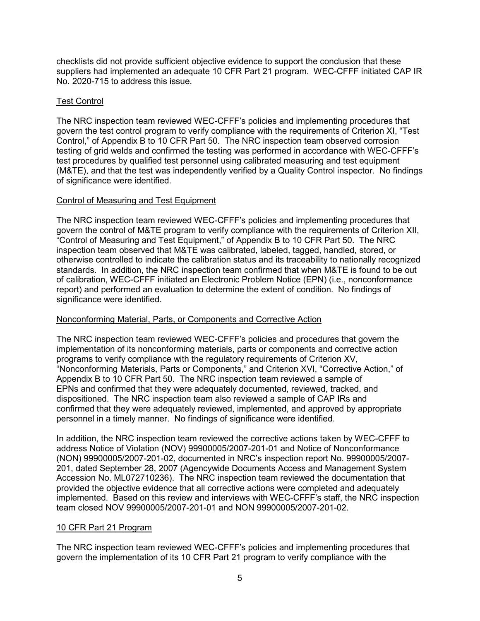checklists did not provide sufficient objective evidence to support the conclusion that these suppliers had implemented an adequate 10 CFR Part 21 program. WEC-CFFF initiated CAP IR No. 2020-715 to address this issue.

# Test Control

The NRC inspection team reviewed WEC-CFFF's policies and implementing procedures that govern the test control program to verify compliance with the requirements of Criterion XI, "Test Control," of Appendix B to 10 CFR Part 50. The NRC inspection team observed corrosion testing of grid welds and confirmed the testing was performed in accordance with WEC-CFFF's test procedures by qualified test personnel using calibrated measuring and test equipment (M&TE), and that the test was independently verified by a Quality Control inspector. No findings of significance were identified.

# Control of Measuring and Test Equipment

The NRC inspection team reviewed WEC-CFFF's policies and implementing procedures that govern the control of M&TE program to verify compliance with the requirements of Criterion XII, "Control of Measuring and Test Equipment," of Appendix B to 10 CFR Part 50. The NRC inspection team observed that M&TE was calibrated, labeled, tagged, handled, stored, or otherwise controlled to indicate the calibration status and its traceability to nationally recognized standards. In addition, the NRC inspection team confirmed that when M&TE is found to be out of calibration, WEC-CFFF initiated an Electronic Problem Notice (EPN) (i.e., nonconformance report) and performed an evaluation to determine the extent of condition. No findings of significance were identified.

# Nonconforming Material, Parts, or Components and Corrective Action

The NRC inspection team reviewed WEC-CFFF's policies and procedures that govern the implementation of its nonconforming materials, parts or components and corrective action programs to verify compliance with the regulatory requirements of Criterion XV, "Nonconforming Materials, Parts or Components," and Criterion XVI, "Corrective Action," of Appendix B to 10 CFR Part 50. The NRC inspection team reviewed a sample of EPNs and confirmed that they were adequately documented, reviewed, tracked, and dispositioned. The NRC inspection team also reviewed a sample of CAP IRs and confirmed that they were adequately reviewed, implemented, and approved by appropriate personnel in a timely manner. No findings of significance were identified.

In addition, the NRC inspection team reviewed the corrective actions taken by WEC-CFFF to address Notice of Violation (NOV) 99900005/2007-201-01 and Notice of Nonconformance (NON) 99900005/2007-201-02, documented in NRC's inspection report No. 99900005/2007- 201, dated September 28, 2007 (Agencywide Documents Access and Management System Accession No. ML072710236). The NRC inspection team reviewed the documentation that provided the objective evidence that all corrective actions were completed and adequately implemented. Based on this review and interviews with WEC-CFFF's staff, the NRC inspection team closed NOV 99900005/2007-201-01 and NON 99900005/2007-201-02.

# 10 CFR Part 21 Program

The NRC inspection team reviewed WEC-CFFF's policies and implementing procedures that govern the implementation of its 10 CFR Part 21 program to verify compliance with the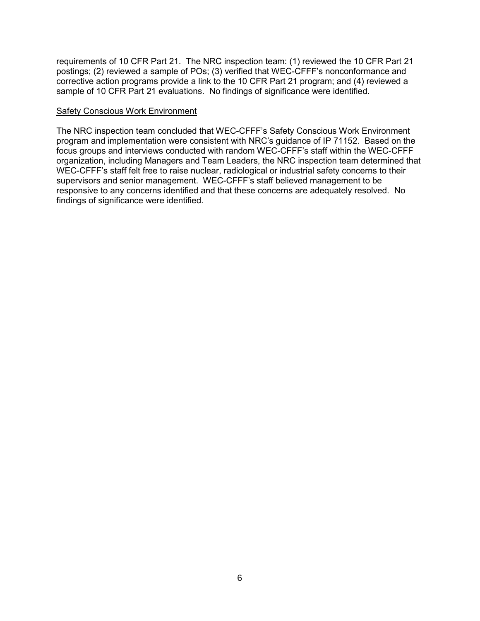requirements of 10 CFR Part 21. The NRC inspection team: (1) reviewed the 10 CFR Part 21 postings; (2) reviewed a sample of POs; (3) verified that WEC-CFFF's nonconformance and corrective action programs provide a link to the 10 CFR Part 21 program; and (4) reviewed a sample of 10 CFR Part 21 evaluations. No findings of significance were identified.

### Safety Conscious Work Environment

The NRC inspection team concluded that WEC-CFFF's Safety Conscious Work Environment program and implementation were consistent with NRC's guidance of IP 71152. Based on the focus groups and interviews conducted with random WEC-CFFF's staff within the WEC-CFFF organization, including Managers and Team Leaders, the NRC inspection team determined that WEC-CFFF's staff felt free to raise nuclear, radiological or industrial safety concerns to their supervisors and senior management. WEC-CFFF's staff believed management to be responsive to any concerns identified and that these concerns are adequately resolved. No findings of significance were identified.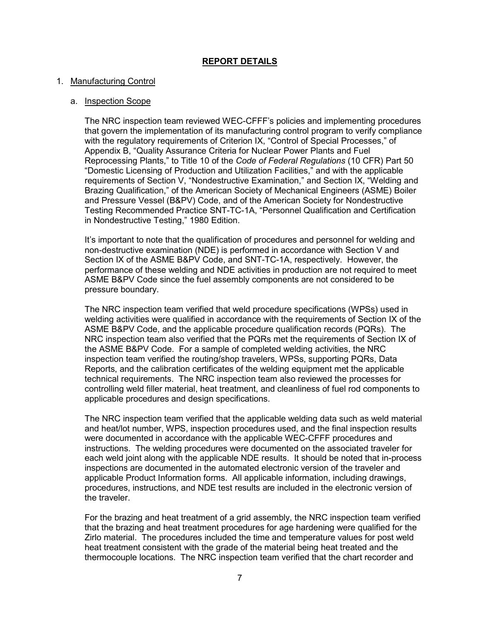# **REPORT DETAILS**

### 1. Manufacturing Control

### a. Inspection Scope

The NRC inspection team reviewed WEC-CFFF's policies and implementing procedures that govern the implementation of its manufacturing control program to verify compliance with the regulatory requirements of Criterion IX, "Control of Special Processes," of Appendix B, "Quality Assurance Criteria for Nuclear Power Plants and Fuel Reprocessing Plants," to Title 10 of the *Code of Federal Regulations* (10 CFR) Part 50 "Domestic Licensing of Production and Utilization Facilities," and with the applicable requirements of Section V, "Nondestructive Examination," and Section IX, "Welding and Brazing Qualification," of the American Society of Mechanical Engineers (ASME) Boiler and Pressure Vessel (B&PV) Code, and of the American Society for Nondestructive Testing Recommended Practice SNT-TC-1A, "Personnel Qualification and Certification in Nondestructive Testing," 1980 Edition.

It's important to note that the qualification of procedures and personnel for welding and non-destructive examination (NDE) is performed in accordance with Section V and Section IX of the ASME B&PV Code, and SNT-TC-1A, respectively. However, the performance of these welding and NDE activities in production are not required to meet ASME B&PV Code since the fuel assembly components are not considered to be pressure boundary.

The NRC inspection team verified that weld procedure specifications (WPSs) used in welding activities were qualified in accordance with the requirements of Section IX of the ASME B&PV Code, and the applicable procedure qualification records (PQRs). The NRC inspection team also verified that the PQRs met the requirements of Section IX of the ASME B&PV Code. For a sample of completed welding activities, the NRC inspection team verified the routing/shop travelers, WPSs, supporting PQRs, Data Reports, and the calibration certificates of the welding equipment met the applicable technical requirements. The NRC inspection team also reviewed the processes for controlling weld filler material, heat treatment, and cleanliness of fuel rod components to applicable procedures and design specifications.

The NRC inspection team verified that the applicable welding data such as weld material and heat/lot number, WPS, inspection procedures used, and the final inspection results were documented in accordance with the applicable WEC-CFFF procedures and instructions. The welding procedures were documented on the associated traveler for each weld joint along with the applicable NDE results. It should be noted that in-process inspections are documented in the automated electronic version of the traveler and applicable Product Information forms. All applicable information, including drawings, procedures, instructions, and NDE test results are included in the electronic version of the traveler.

For the brazing and heat treatment of a grid assembly, the NRC inspection team verified that the brazing and heat treatment procedures for age hardening were qualified for the Zirlo material. The procedures included the time and temperature values for post weld heat treatment consistent with the grade of the material being heat treated and the thermocouple locations. The NRC inspection team verified that the chart recorder and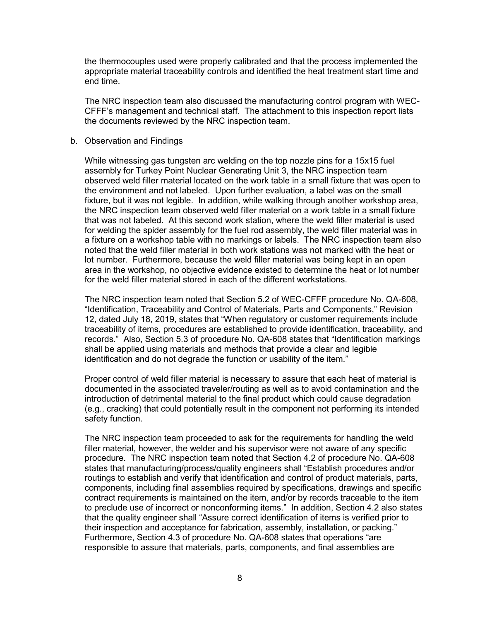the thermocouples used were properly calibrated and that the process implemented the appropriate material traceability controls and identified the heat treatment start time and end time.

The NRC inspection team also discussed the manufacturing control program with WEC-CFFF's management and technical staff. The attachment to this inspection report lists the documents reviewed by the NRC inspection team.

#### b. Observation and Findings

While witnessing gas tungsten arc welding on the top nozzle pins for a 15x15 fuel assembly for Turkey Point Nuclear Generating Unit 3, the NRC inspection team observed weld filler material located on the work table in a small fixture that was open to the environment and not labeled. Upon further evaluation, a label was on the small fixture, but it was not legible. In addition, while walking through another workshop area, the NRC inspection team observed weld filler material on a work table in a small fixture that was not labeled. At this second work station, where the weld filler material is used for welding the spider assembly for the fuel rod assembly, the weld filler material was in a fixture on a workshop table with no markings or labels. The NRC inspection team also noted that the weld filler material in both work stations was not marked with the heat or lot number. Furthermore, because the weld filler material was being kept in an open area in the workshop, no objective evidence existed to determine the heat or lot number for the weld filler material stored in each of the different workstations.

The NRC inspection team noted that Section 5.2 of WEC-CFFF procedure No. QA-608, "Identification, Traceability and Control of Materials, Parts and Components," Revision 12, dated July 18, 2019, states that "When regulatory or customer requirements include traceability of items, procedures are established to provide identification, traceability, and records." Also, Section 5.3 of procedure No. QA-608 states that "Identification markings shall be applied using materials and methods that provide a clear and legible identification and do not degrade the function or usability of the item."

Proper control of weld filler material is necessary to assure that each heat of material is documented in the associated traveler/routing as well as to avoid contamination and the introduction of detrimental material to the final product which could cause degradation (e.g., cracking) that could potentially result in the component not performing its intended safety function.

The NRC inspection team proceeded to ask for the requirements for handling the weld filler material, however, the welder and his supervisor were not aware of any specific procedure. The NRC inspection team noted that Section 4.2 of procedure No. QA-608 states that manufacturing/process/quality engineers shall "Establish procedures and/or routings to establish and verify that identification and control of product materials, parts, components, including final assemblies required by specifications, drawings and specific contract requirements is maintained on the item, and/or by records traceable to the item to preclude use of incorrect or nonconforming items." In addition, Section 4.2 also states that the quality engineer shall "Assure correct identification of items is verified prior to their inspection and acceptance for fabrication, assembly, installation, or packing." Furthermore, Section 4.3 of procedure No. QA-608 states that operations "are responsible to assure that materials, parts, components, and final assemblies are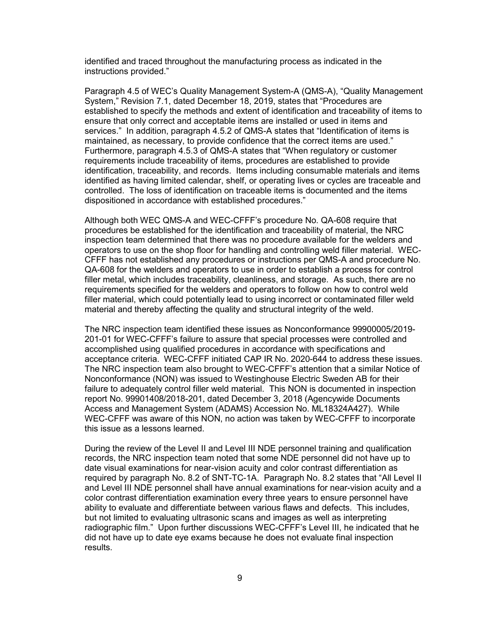identified and traced throughout the manufacturing process as indicated in the instructions provided."

Paragraph 4.5 of WEC's Quality Management System-A (QMS-A), "Quality Management System," Revision 7.1, dated December 18, 2019, states that "Procedures are established to specify the methods and extent of identification and traceability of items to ensure that only correct and acceptable items are installed or used in items and services." In addition, paragraph 4.5.2 of QMS-A states that "Identification of items is maintained, as necessary, to provide confidence that the correct items are used." Furthermore, paragraph 4.5.3 of QMS-A states that "When regulatory or customer requirements include traceability of items, procedures are established to provide identification, traceability, and records. Items including consumable materials and items identified as having limited calendar, shelf, or operating lives or cycles are traceable and controlled. The loss of identification on traceable items is documented and the items dispositioned in accordance with established procedures."

Although both WEC QMS-A and WEC-CFFF's procedure No. QA-608 require that procedures be established for the identification and traceability of material, the NRC inspection team determined that there was no procedure available for the welders and operators to use on the shop floor for handling and controlling weld filler material. WEC-CFFF has not established any procedures or instructions per QMS-A and procedure No. QA-608 for the welders and operators to use in order to establish a process for control filler metal, which includes traceability, cleanliness, and storage. As such, there are no requirements specified for the welders and operators to follow on how to control weld filler material, which could potentially lead to using incorrect or contaminated filler weld material and thereby affecting the quality and structural integrity of the weld.

The NRC inspection team identified these issues as Nonconformance 99900005/2019- 201-01 for WEC-CFFF's failure to assure that special processes were controlled and accomplished using qualified procedures in accordance with specifications and acceptance criteria. WEC-CFFF initiated CAP IR No. 2020-644 to address these issues. The NRC inspection team also brought to WEC-CFFF's attention that a similar Notice of Nonconformance (NON) was issued to Westinghouse Electric Sweden AB for their failure to adequately control filler weld material. This NON is documented in inspection report No. 99901408/2018-201, dated December 3, 2018 (Agencywide Documents Access and Management System (ADAMS) Accession No. ML18324A427). While WEC-CFFF was aware of this NON, no action was taken by WEC-CFFF to incorporate this issue as a lessons learned.

During the review of the Level II and Level III NDE personnel training and qualification records, the NRC inspection team noted that some NDE personnel did not have up to date visual examinations for near-vision acuity and color contrast differentiation as required by paragraph No. 8.2 of SNT-TC-1A. Paragraph No. 8.2 states that "All Level II and Level III NDE personnel shall have annual examinations for near-vision acuity and a color contrast differentiation examination every three years to ensure personnel have ability to evaluate and differentiate between various flaws and defects. This includes, but not limited to evaluating ultrasonic scans and images as well as interpreting radiographic film." Upon further discussions WEC-CFFF's Level III, he indicated that he did not have up to date eye exams because he does not evaluate final inspection results.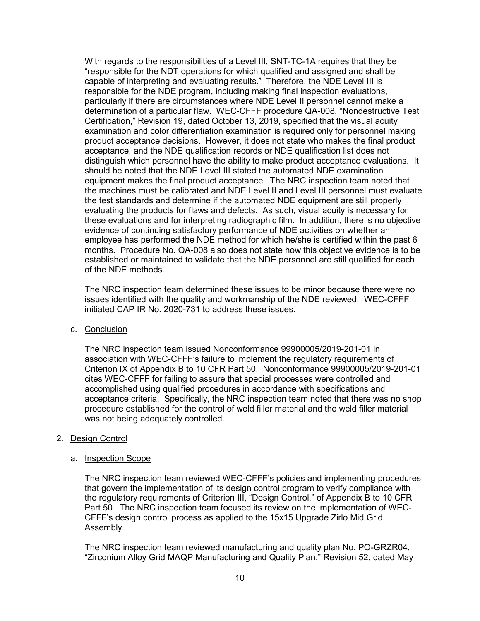With regards to the responsibilities of a Level III, SNT-TC-1A requires that they be "responsible for the NDT operations for which qualified and assigned and shall be capable of interpreting and evaluating results." Therefore, the NDE Level III is responsible for the NDE program, including making final inspection evaluations, particularly if there are circumstances where NDE Level II personnel cannot make a determination of a particular flaw. WEC-CFFF procedure QA-008, "Nondestructive Test Certification," Revision 19, dated October 13, 2019, specified that the visual acuity examination and color differentiation examination is required only for personnel making product acceptance decisions. However, it does not state who makes the final product acceptance, and the NDE qualification records or NDE qualification list does not distinguish which personnel have the ability to make product acceptance evaluations. It should be noted that the NDE Level III stated the automated NDE examination equipment makes the final product acceptance. The NRC inspection team noted that the machines must be calibrated and NDE Level II and Level III personnel must evaluate the test standards and determine if the automated NDE equipment are still properly evaluating the products for flaws and defects. As such, visual acuity is necessary for these evaluations and for interpreting radiographic film. In addition, there is no objective evidence of continuing satisfactory performance of NDE activities on whether an employee has performed the NDE method for which he/she is certified within the past 6 months. Procedure No. QA-008 also does not state how this objective evidence is to be established or maintained to validate that the NDE personnel are still qualified for each of the NDE methods.

The NRC inspection team determined these issues to be minor because there were no issues identified with the quality and workmanship of the NDE reviewed. WEC-CFFF initiated CAP IR No. 2020-731 to address these issues.

c. Conclusion

The NRC inspection team issued Nonconformance 99900005/2019-201-01 in association with WEC-CFFF's failure to implement the regulatory requirements of Criterion IX of Appendix B to 10 CFR Part 50. Nonconformance 99900005/2019-201-01 cites WEC-CFFF for failing to assure that special processes were controlled and accomplished using qualified procedures in accordance with specifications and acceptance criteria. Specifically, the NRC inspection team noted that there was no shop procedure established for the control of weld filler material and the weld filler material was not being adequately controlled.

#### 2. Design Control

#### a. Inspection Scope

The NRC inspection team reviewed WEC-CFFF's policies and implementing procedures that govern the implementation of its design control program to verify compliance with the regulatory requirements of Criterion III, "Design Control," of Appendix B to 10 CFR Part 50. The NRC inspection team focused its review on the implementation of WEC-CFFF's design control process as applied to the 15x15 Upgrade Zirlo Mid Grid Assembly.

The NRC inspection team reviewed manufacturing and quality plan No. PO-GRZR04, "Zirconium Alloy Grid MAQP Manufacturing and Quality Plan," Revision 52, dated May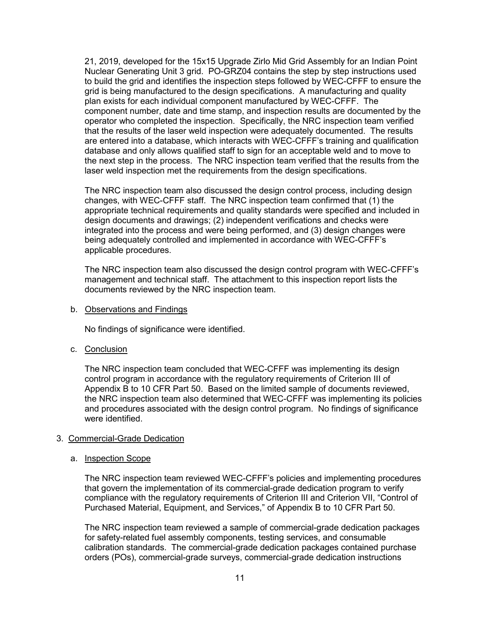21, 2019, developed for the 15x15 Upgrade Zirlo Mid Grid Assembly for an Indian Point Nuclear Generating Unit 3 grid. PO-GRZ04 contains the step by step instructions used to build the grid and identifies the inspection steps followed by WEC-CFFF to ensure the grid is being manufactured to the design specifications. A manufacturing and quality plan exists for each individual component manufactured by WEC-CFFF. The component number, date and time stamp, and inspection results are documented by the operator who completed the inspection. Specifically, the NRC inspection team verified that the results of the laser weld inspection were adequately documented. The results are entered into a database, which interacts with WEC-CFFF's training and qualification database and only allows qualified staff to sign for an acceptable weld and to move to the next step in the process. The NRC inspection team verified that the results from the laser weld inspection met the requirements from the design specifications.

The NRC inspection team also discussed the design control process, including design changes, with WEC-CFFF staff. The NRC inspection team confirmed that (1) the appropriate technical requirements and quality standards were specified and included in design documents and drawings; (2) independent verifications and checks were integrated into the process and were being performed, and (3) design changes were being adequately controlled and implemented in accordance with WEC-CFFF's applicable procedures.

The NRC inspection team also discussed the design control program with WEC-CFFF's management and technical staff. The attachment to this inspection report lists the documents reviewed by the NRC inspection team.

b. Observations and Findings

No findings of significance were identified.

c. Conclusion

The NRC inspection team concluded that WEC-CFFF was implementing its design control program in accordance with the regulatory requirements of Criterion III of Appendix B to 10 CFR Part 50. Based on the limited sample of documents reviewed, the NRC inspection team also determined that WEC-CFFF was implementing its policies and procedures associated with the design control program. No findings of significance were identified.

# 3. Commercial-Grade Dedication

#### a. Inspection Scope

The NRC inspection team reviewed WEC-CFFF's policies and implementing procedures that govern the implementation of its commercial-grade dedication program to verify compliance with the regulatory requirements of Criterion III and Criterion VII, "Control of Purchased Material, Equipment, and Services," of Appendix B to 10 CFR Part 50.

The NRC inspection team reviewed a sample of commercial-grade dedication packages for safety-related fuel assembly components, testing services, and consumable calibration standards. The commercial-grade dedication packages contained purchase orders (POs), commercial-grade surveys, commercial-grade dedication instructions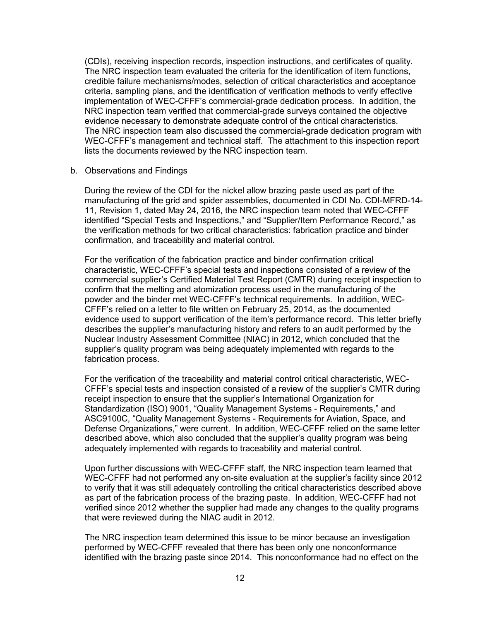(CDIs), receiving inspection records, inspection instructions, and certificates of quality. The NRC inspection team evaluated the criteria for the identification of item functions, credible failure mechanisms/modes, selection of critical characteristics and acceptance criteria, sampling plans, and the identification of verification methods to verify effective implementation of WEC-CFFF's commercial-grade dedication process. In addition, the NRC inspection team verified that commercial-grade surveys contained the objective evidence necessary to demonstrate adequate control of the critical characteristics. The NRC inspection team also discussed the commercial-grade dedication program with WEC-CFFF's management and technical staff. The attachment to this inspection report lists the documents reviewed by the NRC inspection team.

#### b. Observations and Findings

During the review of the CDI for the nickel allow brazing paste used as part of the manufacturing of the grid and spider assemblies, documented in CDI No. CDI-MFRD-14- 11, Revision 1, dated May 24, 2016, the NRC inspection team noted that WEC-CFFF identified "Special Tests and Inspections," and "Supplier/Item Performance Record," as the verification methods for two critical characteristics: fabrication practice and binder confirmation, and traceability and material control.

For the verification of the fabrication practice and binder confirmation critical characteristic, WEC-CFFF's special tests and inspections consisted of a review of the commercial supplier's Certified Material Test Report (CMTR) during receipt inspection to confirm that the melting and atomization process used in the manufacturing of the powder and the binder met WEC-CFFF's technical requirements. In addition, WEC-CFFF's relied on a letter to file written on February 25, 2014, as the documented evidence used to support verification of the item's performance record. This letter briefly describes the supplier's manufacturing history and refers to an audit performed by the Nuclear Industry Assessment Committee (NIAC) in 2012, which concluded that the supplier's quality program was being adequately implemented with regards to the fabrication process.

For the verification of the traceability and material control critical characteristic, WEC-CFFF's special tests and inspection consisted of a review of the supplier's CMTR during receipt inspection to ensure that the supplier's International Organization for Standardization (ISO) 9001, "Quality Management Systems - Requirements," and ASC9100C, "Quality Management Systems - Requirements for Aviation, Space, and Defense Organizations," were current. In addition, WEC-CFFF relied on the same letter described above, which also concluded that the supplier's quality program was being adequately implemented with regards to traceability and material control.

Upon further discussions with WEC-CFFF staff, the NRC inspection team learned that WEC-CFFF had not performed any on-site evaluation at the supplier's facility since 2012 to verify that it was still adequately controlling the critical characteristics described above as part of the fabrication process of the brazing paste. In addition, WEC-CFFF had not verified since 2012 whether the supplier had made any changes to the quality programs that were reviewed during the NIAC audit in 2012.

The NRC inspection team determined this issue to be minor because an investigation performed by WEC-CFFF revealed that there has been only one nonconformance identified with the brazing paste since 2014. This nonconformance had no effect on the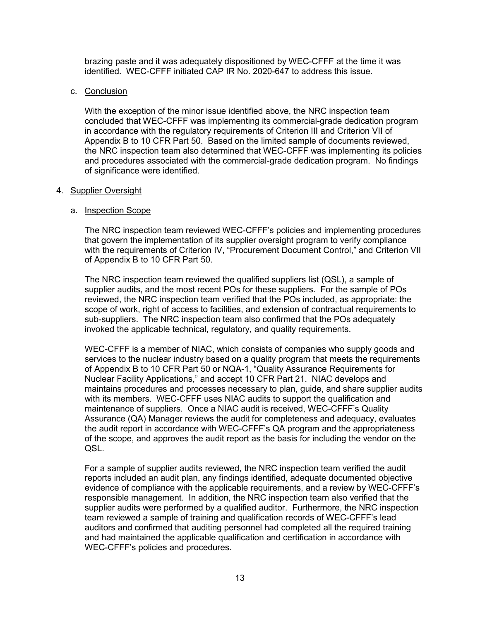brazing paste and it was adequately dispositioned by WEC-CFFF at the time it was identified. WEC-CFFF initiated CAP IR No. 2020-647 to address this issue.

### c. Conclusion

With the exception of the minor issue identified above, the NRC inspection team concluded that WEC-CFFF was implementing its commercial-grade dedication program in accordance with the regulatory requirements of Criterion III and Criterion VII of Appendix B to 10 CFR Part 50. Based on the limited sample of documents reviewed, the NRC inspection team also determined that WEC-CFFF was implementing its policies and procedures associated with the commercial-grade dedication program. No findings of significance were identified.

### 4. Supplier Oversight

### a. Inspection Scope

The NRC inspection team reviewed WEC-CFFF's policies and implementing procedures that govern the implementation of its supplier oversight program to verify compliance with the requirements of Criterion IV, "Procurement Document Control," and Criterion VII of Appendix B to 10 CFR Part 50.

The NRC inspection team reviewed the qualified suppliers list (QSL), a sample of supplier audits, and the most recent POs for these suppliers. For the sample of POs reviewed, the NRC inspection team verified that the POs included, as appropriate: the scope of work, right of access to facilities, and extension of contractual requirements to sub-suppliers. The NRC inspection team also confirmed that the POs adequately invoked the applicable technical, regulatory, and quality requirements.

WEC-CFFF is a member of NIAC, which consists of companies who supply goods and services to the nuclear industry based on a quality program that meets the requirements of Appendix B to 10 CFR Part 50 or NQA-1, "Quality Assurance Requirements for Nuclear Facility Applications," and accept 10 CFR Part 21. NIAC develops and maintains procedures and processes necessary to plan, guide, and share supplier audits with its members. WEC-CFFF uses NIAC audits to support the qualification and maintenance of suppliers. Once a NIAC audit is received, WEC-CFFF's Quality Assurance (QA) Manager reviews the audit for completeness and adequacy, evaluates the audit report in accordance with WEC-CFFF's QA program and the appropriateness of the scope, and approves the audit report as the basis for including the vendor on the QSL.

For a sample of supplier audits reviewed, the NRC inspection team verified the audit reports included an audit plan, any findings identified, adequate documented objective evidence of compliance with the applicable requirements, and a review by WEC-CFFF's responsible management. In addition, the NRC inspection team also verified that the supplier audits were performed by a qualified auditor. Furthermore, the NRC inspection team reviewed a sample of training and qualification records of WEC-CFFF's lead auditors and confirmed that auditing personnel had completed all the required training and had maintained the applicable qualification and certification in accordance with WEC-CFFF's policies and procedures.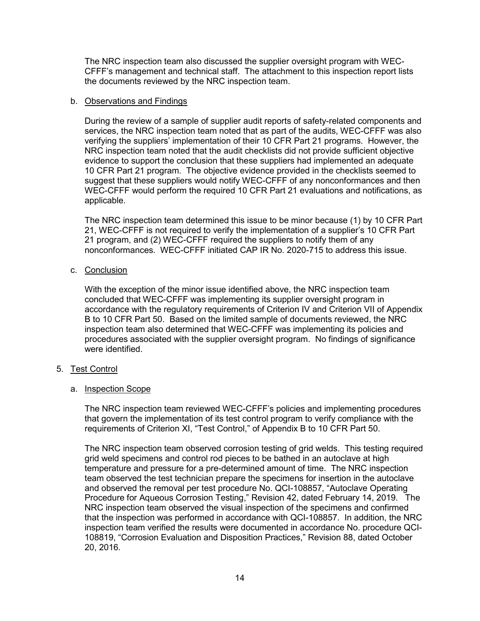The NRC inspection team also discussed the supplier oversight program with WEC-CFFF's management and technical staff. The attachment to this inspection report lists the documents reviewed by the NRC inspection team.

### b. Observations and Findings

During the review of a sample of supplier audit reports of safety-related components and services, the NRC inspection team noted that as part of the audits, WEC-CFFF was also verifying the suppliers' implementation of their 10 CFR Part 21 programs. However, the NRC inspection team noted that the audit checklists did not provide sufficient objective evidence to support the conclusion that these suppliers had implemented an adequate 10 CFR Part 21 program. The objective evidence provided in the checklists seemed to suggest that these suppliers would notify WEC-CFFF of any nonconformances and then WEC-CFFF would perform the required 10 CFR Part 21 evaluations and notifications, as applicable.

The NRC inspection team determined this issue to be minor because (1) by 10 CFR Part 21, WEC-CFFF is not required to verify the implementation of a supplier's 10 CFR Part 21 program, and (2) WEC-CFFF required the suppliers to notify them of any nonconformances. WEC-CFFF initiated CAP IR No. 2020-715 to address this issue.

# c. Conclusion

With the exception of the minor issue identified above, the NRC inspection team concluded that WEC-CFFF was implementing its supplier oversight program in accordance with the regulatory requirements of Criterion IV and Criterion VII of Appendix B to 10 CFR Part 50. Based on the limited sample of documents reviewed, the NRC inspection team also determined that WEC-CFFF was implementing its policies and procedures associated with the supplier oversight program. No findings of significance were identified.

# 5. Test Control

# a. Inspection Scope

The NRC inspection team reviewed WEC-CFFF's policies and implementing procedures that govern the implementation of its test control program to verify compliance with the requirements of Criterion XI, "Test Control," of Appendix B to 10 CFR Part 50.

The NRC inspection team observed corrosion testing of grid welds. This testing required grid weld specimens and control rod pieces to be bathed in an autoclave at high temperature and pressure for a pre-determined amount of time. The NRC inspection team observed the test technician prepare the specimens for insertion in the autoclave and observed the removal per test procedure No. QCI-108857, "Autoclave Operating Procedure for Aqueous Corrosion Testing," Revision 42, dated February 14, 2019. The NRC inspection team observed the visual inspection of the specimens and confirmed that the inspection was performed in accordance with QCI-108857. In addition, the NRC inspection team verified the results were documented in accordance No. procedure QCI-108819, "Corrosion Evaluation and Disposition Practices," Revision 88, dated October 20, 2016.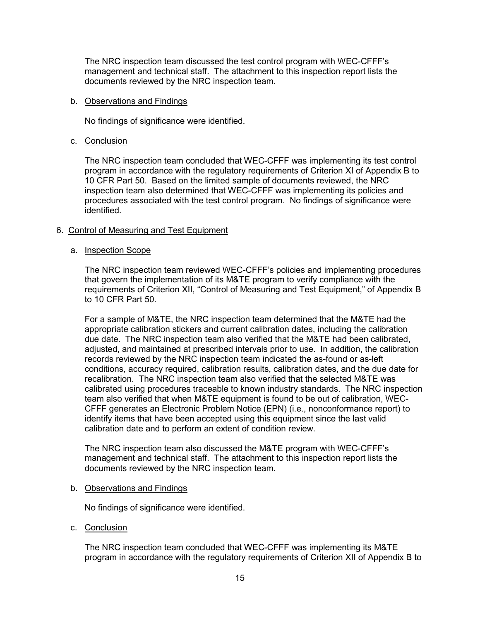The NRC inspection team discussed the test control program with WEC-CFFF's management and technical staff. The attachment to this inspection report lists the documents reviewed by the NRC inspection team.

### b. Observations and Findings

No findings of significance were identified.

c. Conclusion

The NRC inspection team concluded that WEC-CFFF was implementing its test control program in accordance with the regulatory requirements of Criterion XI of Appendix B to 10 CFR Part 50. Based on the limited sample of documents reviewed, the NRC inspection team also determined that WEC-CFFF was implementing its policies and procedures associated with the test control program. No findings of significance were identified.

# 6. Control of Measuring and Test Equipment

# a. Inspection Scope

The NRC inspection team reviewed WEC-CFFF's policies and implementing procedures that govern the implementation of its M&TE program to verify compliance with the requirements of Criterion XII, "Control of Measuring and Test Equipment," of Appendix B to 10 CFR Part 50.

For a sample of M&TE, the NRC inspection team determined that the M&TE had the appropriate calibration stickers and current calibration dates, including the calibration due date. The NRC inspection team also verified that the M&TE had been calibrated, adjusted, and maintained at prescribed intervals prior to use. In addition, the calibration records reviewed by the NRC inspection team indicated the as-found or as-left conditions, accuracy required, calibration results, calibration dates, and the due date for recalibration. The NRC inspection team also verified that the selected M&TE was calibrated using procedures traceable to known industry standards. The NRC inspection team also verified that when M&TE equipment is found to be out of calibration, WEC-CFFF generates an Electronic Problem Notice (EPN) (i.e., nonconformance report) to identify items that have been accepted using this equipment since the last valid calibration date and to perform an extent of condition review.

The NRC inspection team also discussed the M&TE program with WEC-CFFF's management and technical staff. The attachment to this inspection report lists the documents reviewed by the NRC inspection team.

# b. Observations and Findings

No findings of significance were identified.

c. Conclusion

The NRC inspection team concluded that WEC-CFFF was implementing its M&TE program in accordance with the regulatory requirements of Criterion XII of Appendix B to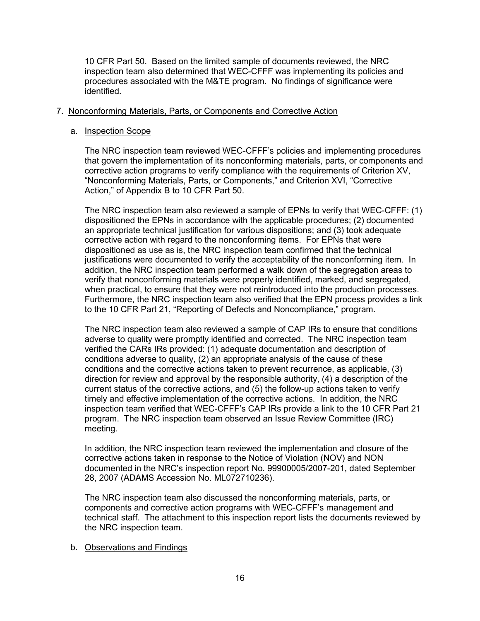10 CFR Part 50. Based on the limited sample of documents reviewed, the NRC inspection team also determined that WEC-CFFF was implementing its policies and procedures associated with the M&TE program. No findings of significance were identified.

### 7. Nonconforming Materials, Parts, or Components and Corrective Action

#### a. Inspection Scope

The NRC inspection team reviewed WEC-CFFF's policies and implementing procedures that govern the implementation of its nonconforming materials, parts, or components and corrective action programs to verify compliance with the requirements of Criterion XV, "Nonconforming Materials, Parts, or Components," and Criterion XVI, "Corrective Action," of Appendix B to 10 CFR Part 50.

The NRC inspection team also reviewed a sample of EPNs to verify that WEC-CFFF: (1) dispositioned the EPNs in accordance with the applicable procedures; (2) documented an appropriate technical justification for various dispositions; and (3) took adequate corrective action with regard to the nonconforming items. For EPNs that were dispositioned as use as is, the NRC inspection team confirmed that the technical justifications were documented to verify the acceptability of the nonconforming item. In addition, the NRC inspection team performed a walk down of the segregation areas to verify that nonconforming materials were properly identified, marked, and segregated, when practical, to ensure that they were not reintroduced into the production processes. Furthermore, the NRC inspection team also verified that the EPN process provides a link to the 10 CFR Part 21, "Reporting of Defects and Noncompliance," program.

The NRC inspection team also reviewed a sample of CAP IRs to ensure that conditions adverse to quality were promptly identified and corrected. The NRC inspection team verified the CARs IRs provided: (1) adequate documentation and description of conditions adverse to quality, (2) an appropriate analysis of the cause of these conditions and the corrective actions taken to prevent recurrence, as applicable, (3) direction for review and approval by the responsible authority, (4) a description of the current status of the corrective actions, and (5) the follow-up actions taken to verify timely and effective implementation of the corrective actions. In addition, the NRC inspection team verified that WEC-CFFF's CAP IRs provide a link to the 10 CFR Part 21 program. The NRC inspection team observed an Issue Review Committee (IRC) meeting.

In addition, the NRC inspection team reviewed the implementation and closure of the corrective actions taken in response to the Notice of Violation (NOV) and NON documented in the NRC's inspection report No. 99900005/2007-201, dated September 28, 2007 (ADAMS Accession No. ML072710236).

The NRC inspection team also discussed the nonconforming materials, parts, or components and corrective action programs with WEC-CFFF's management and technical staff. The attachment to this inspection report lists the documents reviewed by the NRC inspection team.

#### b. Observations and Findings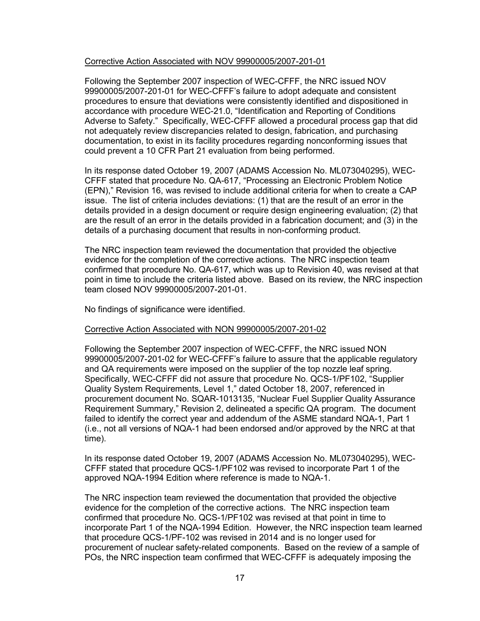#### Corrective Action Associated with NOV 99900005/2007-201-01

Following the September 2007 inspection of WEC-CFFF, the NRC issued NOV 99900005/2007-201-01 for WEC-CFFF's failure to adopt adequate and consistent procedures to ensure that deviations were consistently identified and dispositioned in accordance with procedure WEC-21.0, "Identification and Reporting of Conditions Adverse to Safety." Specifically, WEC-CFFF allowed a procedural process gap that did not adequately review discrepancies related to design, fabrication, and purchasing documentation, to exist in its facility procedures regarding nonconforming issues that could prevent a 10 CFR Part 21 evaluation from being performed.

In its response dated October 19, 2007 (ADAMS Accession No. ML073040295), WEC-CFFF stated that procedure No. QA-617, "Processing an Electronic Problem Notice (EPN)," Revision 16, was revised to include additional criteria for when to create a CAP issue. The list of criteria includes deviations: (1) that are the result of an error in the details provided in a design document or require design engineering evaluation; (2) that are the result of an error in the details provided in a fabrication document; and (3) in the details of a purchasing document that results in non-conforming product.

The NRC inspection team reviewed the documentation that provided the objective evidence for the completion of the corrective actions. The NRC inspection team confirmed that procedure No. QA-617, which was up to Revision 40, was revised at that point in time to include the criteria listed above. Based on its review, the NRC inspection team closed NOV 99900005/2007-201-01.

No findings of significance were identified.

#### Corrective Action Associated with NON 99900005/2007-201-02

Following the September 2007 inspection of WEC-CFFF, the NRC issued NON 99900005/2007-201-02 for WEC-CFFF's failure to assure that the applicable regulatory and QA requirements were imposed on the supplier of the top nozzle leaf spring. Specifically, WEC-CFFF did not assure that procedure No. QCS-1/PF102, "Supplier Quality System Requirements, Level 1," dated October 18, 2007, referenced in procurement document No. SQAR-1013135, "Nuclear Fuel Supplier Quality Assurance Requirement Summary," Revision 2, delineated a specific QA program. The document failed to identify the correct year and addendum of the ASME standard NQA-1, Part 1 (i.e., not all versions of NQA-1 had been endorsed and/or approved by the NRC at that time).

In its response dated October 19, 2007 (ADAMS Accession No. ML073040295), WEC-CFFF stated that procedure QCS-1/PF102 was revised to incorporate Part 1 of the approved NQA-1994 Edition where reference is made to NQA-1.

The NRC inspection team reviewed the documentation that provided the objective evidence for the completion of the corrective actions. The NRC inspection team confirmed that procedure No. QCS-1/PF102 was revised at that point in time to incorporate Part 1 of the NQA-1994 Edition. However, the NRC inspection team learned that procedure QCS-1/PF-102 was revised in 2014 and is no longer used for procurement of nuclear safety-related components. Based on the review of a sample of POs, the NRC inspection team confirmed that WEC-CFFF is adequately imposing the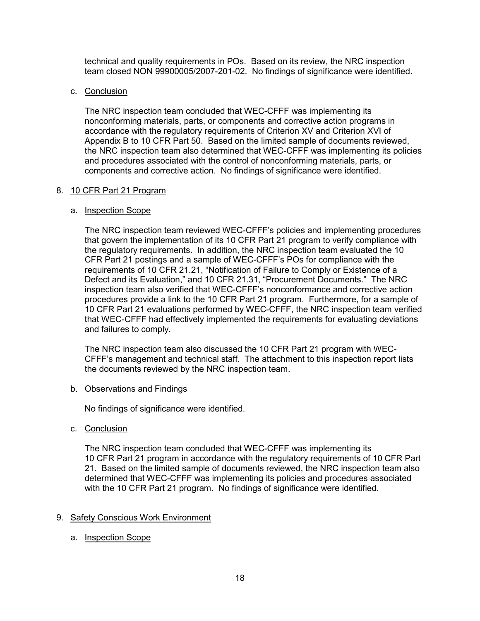technical and quality requirements in POs. Based on its review, the NRC inspection team closed NON 99900005/2007-201-02. No findings of significance were identified.

### c. Conclusion

The NRC inspection team concluded that WEC-CFFF was implementing its nonconforming materials, parts, or components and corrective action programs in accordance with the regulatory requirements of Criterion XV and Criterion XVI of Appendix B to 10 CFR Part 50. Based on the limited sample of documents reviewed, the NRC inspection team also determined that WEC-CFFF was implementing its policies and procedures associated with the control of nonconforming materials, parts, or components and corrective action. No findings of significance were identified.

### 8. 10 CFR Part 21 Program

### a. Inspection Scope

The NRC inspection team reviewed WEC-CFFF's policies and implementing procedures that govern the implementation of its 10 CFR Part 21 program to verify compliance with the regulatory requirements. In addition, the NRC inspection team evaluated the 10 CFR Part 21 postings and a sample of WEC-CFFF's POs for compliance with the requirements of 10 CFR 21.21, "Notification of Failure to Comply or Existence of a Defect and its Evaluation," and 10 CFR 21.31, "Procurement Documents." The NRC inspection team also verified that WEC-CFFF's nonconformance and corrective action procedures provide a link to the 10 CFR Part 21 program. Furthermore, for a sample of 10 CFR Part 21 evaluations performed by WEC-CFFF, the NRC inspection team verified that WEC-CFFF had effectively implemented the requirements for evaluating deviations and failures to comply.

The NRC inspection team also discussed the 10 CFR Part 21 program with WEC-CFFF's management and technical staff. The attachment to this inspection report lists the documents reviewed by the NRC inspection team.

#### b. Observations and Findings

No findings of significance were identified.

c. Conclusion

The NRC inspection team concluded that WEC-CFFF was implementing its 10 CFR Part 21 program in accordance with the regulatory requirements of 10 CFR Part 21. Based on the limited sample of documents reviewed, the NRC inspection team also determined that WEC-CFFF was implementing its policies and procedures associated with the 10 CFR Part 21 program. No findings of significance were identified.

#### 9. Safety Conscious Work Environment

a. Inspection Scope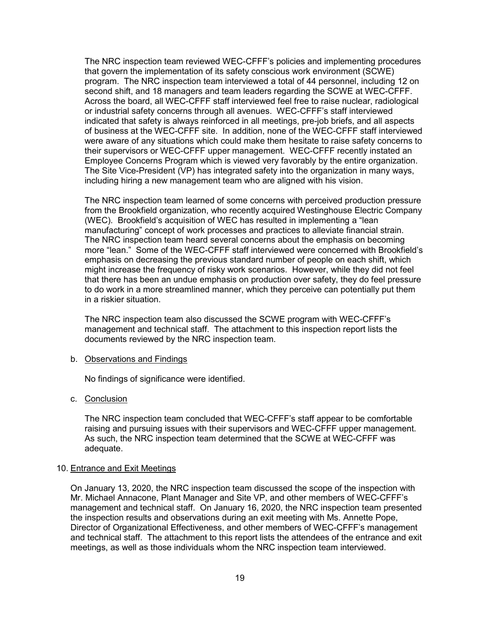The NRC inspection team reviewed WEC-CFFF's policies and implementing procedures that govern the implementation of its safety conscious work environment (SCWE) program. The NRC inspection team interviewed a total of 44 personnel, including 12 on second shift, and 18 managers and team leaders regarding the SCWE at WEC-CFFF. Across the board, all WEC-CFFF staff interviewed feel free to raise nuclear, radiological or industrial safety concerns through all avenues. WEC-CFFF's staff interviewed indicated that safety is always reinforced in all meetings, pre-job briefs, and all aspects of business at the WEC-CFFF site. In addition, none of the WEC-CFFF staff interviewed were aware of any situations which could make them hesitate to raise safety concerns to their supervisors or WEC-CFFF upper management. WEC-CFFF recently instated an Employee Concerns Program which is viewed very favorably by the entire organization. The Site Vice-President (VP) has integrated safety into the organization in many ways, including hiring a new management team who are aligned with his vision.

The NRC inspection team learned of some concerns with perceived production pressure from the Brookfield organization, who recently acquired Westinghouse Electric Company (WEC). Brookfield's acquisition of WEC has resulted in implementing a "lean manufacturing" concept of work processes and practices to alleviate financial strain. The NRC inspection team heard several concerns about the emphasis on becoming more "lean." Some of the WEC-CFFF staff interviewed were concerned with Brookfield's emphasis on decreasing the previous standard number of people on each shift, which might increase the frequency of risky work scenarios. However, while they did not feel that there has been an undue emphasis on production over safety, they do feel pressure to do work in a more streamlined manner, which they perceive can potentially put them in a riskier situation.

The NRC inspection team also discussed the SCWE program with WEC-CFFF's management and technical staff. The attachment to this inspection report lists the documents reviewed by the NRC inspection team.

#### b. Observations and Findings

No findings of significance were identified.

#### c. Conclusion

The NRC inspection team concluded that WEC-CFFF's staff appear to be comfortable raising and pursuing issues with their supervisors and WEC-CFFF upper management. As such, the NRC inspection team determined that the SCWE at WEC-CFFF was adequate.

#### 10. Entrance and Exit Meetings

On January 13, 2020, the NRC inspection team discussed the scope of the inspection with Mr. Michael Annacone, Plant Manager and Site VP, and other members of WEC-CFFF's management and technical staff. On January 16, 2020, the NRC inspection team presented the inspection results and observations during an exit meeting with Ms. Annette Pope, Director of Organizational Effectiveness, and other members of WEC-CFFF's management and technical staff. The attachment to this report lists the attendees of the entrance and exit meetings, as well as those individuals whom the NRC inspection team interviewed.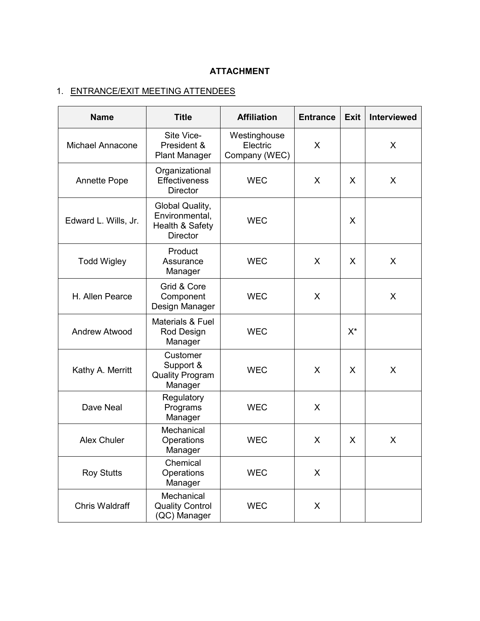# **ATTACHMENT**

# 1. ENTRANCE/EXIT MEETING ATTENDEES

| <b>Name</b>             | <b>Title</b>                                                            | <b>Affiliation</b>                        | <b>Entrance</b> | <b>Exit</b> | <b>Interviewed</b> |
|-------------------------|-------------------------------------------------------------------------|-------------------------------------------|-----------------|-------------|--------------------|
| <b>Michael Annacone</b> | Site Vice-<br>President &<br><b>Plant Manager</b>                       | Westinghouse<br>Electric<br>Company (WEC) | X               |             | X                  |
| <b>Annette Pope</b>     | Organizational<br><b>Effectiveness</b><br><b>Director</b>               | <b>WEC</b>                                | X               | X           | X                  |
| Edward L. Wills, Jr.    | Global Quality,<br>Environmental,<br>Health & Safety<br><b>Director</b> | <b>WEC</b>                                |                 | X           |                    |
| <b>Todd Wigley</b>      | Product<br>Assurance<br>Manager                                         | <b>WEC</b>                                | X               | X           | X                  |
| H. Allen Pearce         | Grid & Core<br>Component<br>Design Manager                              | <b>WEC</b>                                | X               |             | X                  |
| <b>Andrew Atwood</b>    | Materials & Fuel<br>Rod Design<br>Manager                               | <b>WEC</b>                                |                 | $X^{\star}$ |                    |
| Kathy A. Merritt        | Customer<br>Support &<br><b>Quality Program</b><br>Manager              | <b>WEC</b>                                | X               | X           | X                  |
| Dave Neal               | Regulatory<br>Programs<br>Manager                                       | <b>WEC</b>                                | X               |             |                    |
| <b>Alex Chuler</b>      | Mechanical<br>Operations<br>Manager                                     | <b>WEC</b>                                | X               | X           | X                  |
| <b>Roy Stutts</b>       | Chemical<br>Operations<br>Manager                                       | <b>WEC</b>                                | X               |             |                    |
| <b>Chris Waldraff</b>   | Mechanical<br><b>Quality Control</b><br>(QC) Manager                    | <b>WEC</b>                                | X               |             |                    |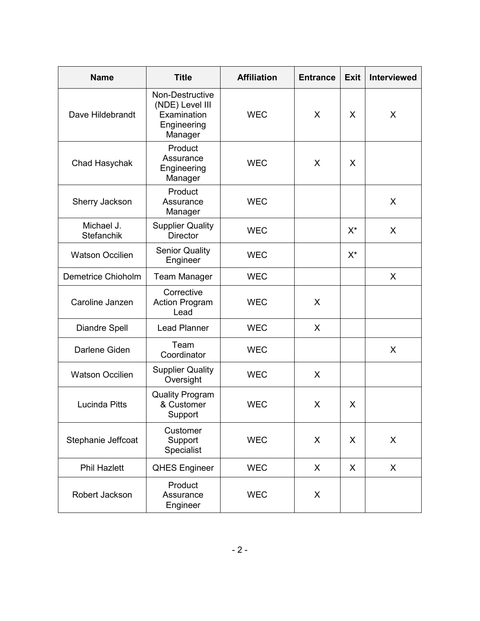| <b>Name</b>              | <b>Title</b>                                                                | <b>Affiliation</b> | <b>Entrance</b> | <b>Exit</b> | <b>Interviewed</b> |
|--------------------------|-----------------------------------------------------------------------------|--------------------|-----------------|-------------|--------------------|
| Dave Hildebrandt         | Non-Destructive<br>(NDE) Level III<br>Examination<br>Engineering<br>Manager | <b>WEC</b>         | X               | X           | X                  |
| Chad Hasychak            | Product<br>Assurance<br>Engineering<br>Manager                              | <b>WEC</b>         | X               | X           |                    |
| Sherry Jackson           | Product<br>Assurance<br>Manager                                             | <b>WEC</b>         |                 |             | X                  |
| Michael J.<br>Stefanchik | <b>Supplier Quality</b><br><b>Director</b>                                  | <b>WEC</b>         |                 | $X^*$       | X                  |
| <b>Watson Occilien</b>   | <b>Senior Quality</b><br>Engineer                                           | <b>WEC</b>         |                 | $X^*$       |                    |
| Demetrice Chioholm       | <b>Team Manager</b>                                                         | <b>WEC</b>         |                 |             | $\sf X$            |
| Caroline Janzen          | Corrective<br><b>Action Program</b><br>Lead                                 | <b>WEC</b>         | X               |             |                    |
| <b>Diandre Spell</b>     | <b>Lead Planner</b>                                                         | <b>WEC</b>         | X               |             |                    |
| Darlene Giden            | Team<br>Coordinator                                                         | <b>WEC</b>         |                 |             | X                  |
| <b>Watson Occilien</b>   | <b>Supplier Quality</b><br>Oversight                                        | <b>WEC</b>         | X               |             |                    |
| <b>Lucinda Pitts</b>     | <b>Quality Program</b><br>& Customer<br>Support                             | <b>WEC</b>         | X               | X           |                    |
| Stephanie Jeffcoat       | Customer<br>Support<br>Specialist                                           | <b>WEC</b>         | X               | X           | X                  |
| <b>Phil Hazlett</b>      | <b>QHES Engineer</b>                                                        | <b>WEC</b>         | X               | X           | X                  |
| Robert Jackson           | Product<br>Assurance<br>Engineer                                            | <b>WEC</b>         | X               |             |                    |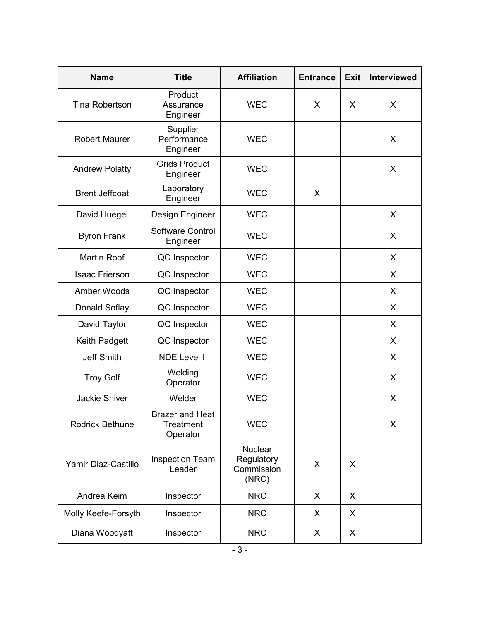| <b>Name</b>           | <b>Title</b>                                    | <b>Affiliation</b>                                  | <b>Entrance</b> | <b>Exit</b> | <b>Interviewed</b> |
|-----------------------|-------------------------------------------------|-----------------------------------------------------|-----------------|-------------|--------------------|
| <b>Tina Robertson</b> | Product<br>Assurance<br>Engineer                | <b>WEC</b>                                          | X               | X           | X                  |
| <b>Robert Maurer</b>  | Supplier<br>Performance<br>Engineer             | <b>WEC</b>                                          |                 |             | $\sf X$            |
| <b>Andrew Polatty</b> | <b>Grids Product</b><br>Engineer                | <b>WEC</b>                                          |                 |             | $\sf X$            |
| <b>Brent Jeffcoat</b> | Laboratory<br>Engineer                          | <b>WEC</b>                                          | X               |             |                    |
| David Huegel          | Design Engineer                                 | <b>WEC</b>                                          |                 |             | $\sf X$            |
| <b>Byron Frank</b>    | Software Control<br>Engineer                    | <b>WEC</b>                                          |                 |             | X                  |
| <b>Martin Roof</b>    | QC Inspector                                    | <b>WEC</b>                                          |                 |             | X                  |
| <b>Isaac Frierson</b> | QC Inspector                                    | <b>WEC</b>                                          |                 |             | $\sf X$            |
| <b>Amber Woods</b>    | QC Inspector                                    | <b>WEC</b>                                          |                 |             | X                  |
| Donald Soflay         | QC Inspector                                    | <b>WEC</b>                                          |                 |             | $\sf X$            |
| David Taylor          | QC Inspector                                    | <b>WEC</b>                                          |                 |             | $\sf X$            |
| Keith Padgett         | QC Inspector                                    | <b>WEC</b>                                          |                 |             | $\sf X$            |
| <b>Jeff Smith</b>     | <b>NDE Level II</b>                             | <b>WEC</b>                                          |                 |             | X                  |
| <b>Troy Golf</b>      | Welding<br>Operator                             | <b>WEC</b>                                          |                 |             | X                  |
| <b>Jackie Shiver</b>  | Welder                                          | <b>WEC</b>                                          |                 |             | X                  |
| Rodrick Bethune       | <b>Brazer and Heat</b><br>Treatment<br>Operator | <b>WEC</b>                                          |                 |             | X                  |
| Yamir Diaz-Castillo   | <b>Inspection Team</b><br>Leader                | <b>Nuclear</b><br>Regulatory<br>Commission<br>(NRC) | X               | X           |                    |
| Andrea Keim           | Inspector                                       | <b>NRC</b>                                          | X               | X           |                    |
| Molly Keefe-Forsyth   | Inspector                                       | <b>NRC</b>                                          | X               | X           |                    |
| Diana Woodyatt        | Inspector                                       | <b>NRC</b>                                          | X               | X           |                    |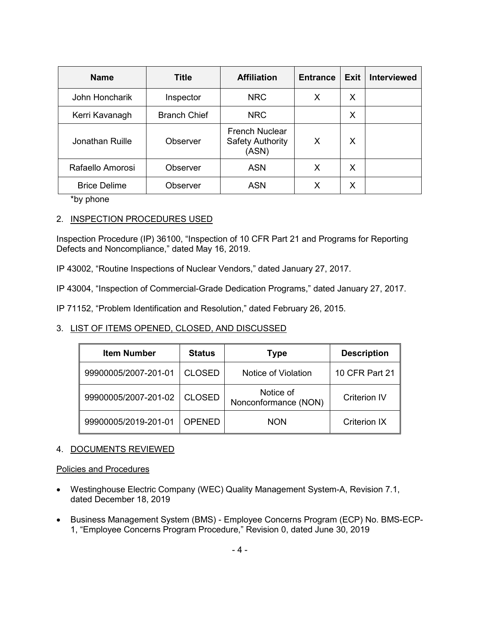| <b>Name</b>         | <b>Title</b>        | <b>Affiliation</b>                                        | <b>Entrance</b> | Exit | <b>Interviewed</b> |
|---------------------|---------------------|-----------------------------------------------------------|-----------------|------|--------------------|
| John Honcharik      | Inspector           | <b>NRC</b>                                                | Х               | Х    |                    |
| Kerri Kavanagh      | <b>Branch Chief</b> | <b>NRC</b>                                                |                 | X    |                    |
| Jonathan Ruille     | Observer            | <b>French Nuclear</b><br><b>Safety Authority</b><br>(ASN) | X               | X    |                    |
| Rafaello Amorosi    | Observer            | <b>ASN</b>                                                | X               | X    |                    |
| <b>Brice Delime</b> | Observer            | <b>ASN</b>                                                | Х               | X    |                    |

\*by phone

# 2. INSPECTION PROCEDURES USED

Inspection Procedure (IP) 36100, "Inspection of 10 CFR Part 21 and Programs for Reporting Defects and Noncompliance," dated May 16, 2019.

IP 43002, "Routine Inspections of Nuclear Vendors," dated January 27, 2017.

IP 43004, "Inspection of Commercial-Grade Dedication Programs," dated January 27, 2017.

IP 71152, "Problem Identification and Resolution," dated February 26, 2015.

# 3. LIST OF ITEMS OPENED, CLOSED, AND DISCUSSED

| <b>Item Number</b>   | <b>Status</b> | <b>Type</b>                       | <b>Description</b>  |
|----------------------|---------------|-----------------------------------|---------------------|
| 99900005/2007-201-01 | <b>CLOSED</b> | Notice of Violation               | 10 CFR Part 21      |
| 99900005/2007-201-02 | <b>CLOSED</b> | Notice of<br>Nonconformance (NON) | <b>Criterion IV</b> |
| 99900005/2019-201-01 | <b>OPENED</b> | <b>NON</b>                        | <b>Criterion IX</b> |

# 4. DOCUMENTS REVIEWED

#### Policies and Procedures

- Westinghouse Electric Company (WEC) Quality Management System-A, Revision 7.1, dated December 18, 2019
- Business Management System (BMS) Employee Concerns Program (ECP) No. BMS-ECP-1, "Employee Concerns Program Procedure," Revision 0, dated June 30, 2019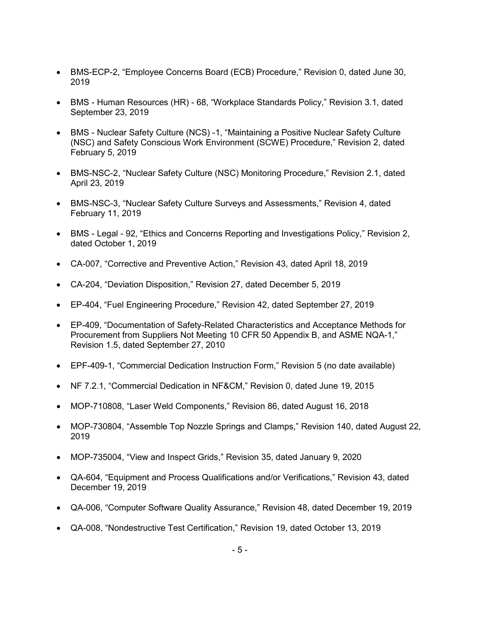- BMS-ECP-2, "Employee Concerns Board (ECB) Procedure," Revision 0, dated June 30, 2019
- BMS Human Resources (HR) 68, "Workplace Standards Policy," Revision 3.1, dated September 23, 2019
- BMS Nuclear Safety Culture (NCS) -1, "Maintaining a Positive Nuclear Safety Culture (NSC) and Safety Conscious Work Environment (SCWE) Procedure," Revision 2, dated February 5, 2019
- BMS-NSC-2, "Nuclear Safety Culture (NSC) Monitoring Procedure," Revision 2.1, dated April 23, 2019
- BMS-NSC-3, "Nuclear Safety Culture Surveys and Assessments," Revision 4, dated February 11, 2019
- BMS Legal 92, "Ethics and Concerns Reporting and Investigations Policy," Revision 2, dated October 1, 2019
- CA-007, "Corrective and Preventive Action," Revision 43, dated April 18, 2019
- CA-204, "Deviation Disposition," Revision 27, dated December 5, 2019
- EP-404, "Fuel Engineering Procedure," Revision 42, dated September 27, 2019
- EP-409, "Documentation of Safety-Related Characteristics and Acceptance Methods for Procurement from Suppliers Not Meeting 10 CFR 50 Appendix B, and ASME NQA-1," Revision 1.5, dated September 27, 2010
- EPF-409-1, "Commercial Dedication Instruction Form," Revision 5 (no date available)
- NF 7.2.1, "Commercial Dedication in NF&CM," Revision 0, dated June 19, 2015
- MOP-710808, "Laser Weld Components," Revision 86, dated August 16, 2018
- MOP-730804, "Assemble Top Nozzle Springs and Clamps," Revision 140, dated August 22, 2019
- MOP-735004, "View and Inspect Grids," Revision 35, dated January 9, 2020
- QA-604, "Equipment and Process Qualifications and/or Verifications," Revision 43, dated December 19, 2019
- QA-006, "Computer Software Quality Assurance," Revision 48, dated December 19, 2019
- QA-008, "Nondestructive Test Certification," Revision 19, dated October 13, 2019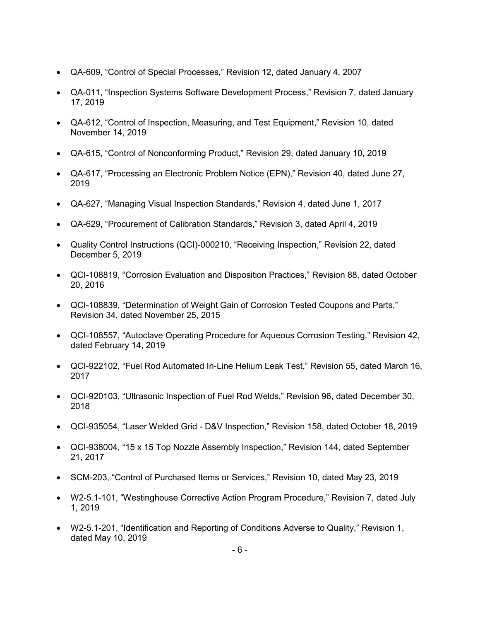- QA-609, "Control of Special Processes," Revision 12, dated January 4, 2007
- QA-011, "Inspection Systems Software Development Process," Revision 7, dated January 17, 2019
- QA-612, "Control of Inspection, Measuring, and Test Equipment," Revision 10, dated November 14, 2019
- QA-615, "Control of Nonconforming Product," Revision 29, dated January 10, 2019
- QA-617, "Processing an Electronic Problem Notice (EPN)," Revision 40, dated June 27, 2019
- QA-627, "Managing Visual Inspection Standards," Revision 4, dated June 1, 2017
- QA-629, "Procurement of Calibration Standards," Revision 3, dated April 4, 2019
- Quality Control Instructions (QCI)-000210, "Receiving Inspection," Revision 22, dated December 5, 2019
- QCI-108819, "Corrosion Evaluation and Disposition Practices," Revision 88, dated October 20, 2016
- QCI-108839, "Determination of Weight Gain of Corrosion Tested Coupons and Parts," Revision 34, dated November 25, 2015
- QCI-108557, "Autoclave Operating Procedure for Aqueous Corrosion Testing," Revision 42, dated February 14, 2019
- QCI-922102, "Fuel Rod Automated In-Line Helium Leak Test," Revision 55, dated March 16, 2017
- QCI-920103, "Ultrasonic Inspection of Fuel Rod Welds," Revision 96, dated December 30, 2018
- QCI-935054, "Laser Welded Grid D&V Inspection," Revision 158, dated October 18, 2019
- QCI-938004, "15 x 15 Top Nozzle Assembly Inspection," Revision 144, dated September 21, 2017
- SCM-203, "Control of Purchased Items or Services," Revision 10, dated May 23, 2019
- W2-5.1-101, "Westinghouse Corrective Action Program Procedure," Revision 7, dated July 1, 2019
- W2-5.1-201, "Identification and Reporting of Conditions Adverse to Quality," Revision 1, dated May 10, 2019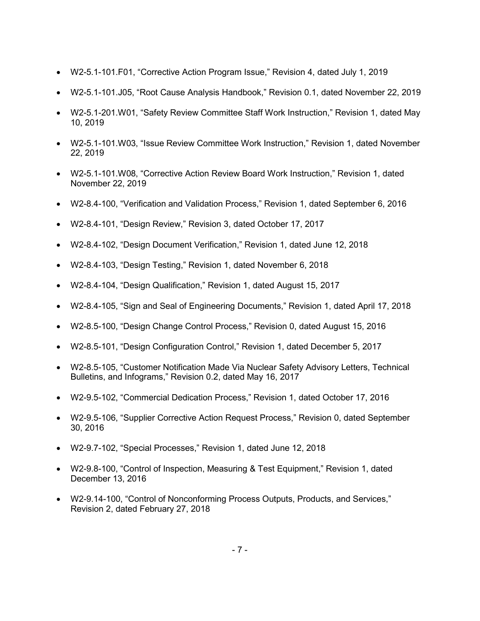- W2-5.1-101.F01, "Corrective Action Program Issue," Revision 4, dated July 1, 2019
- W2-5.1-101.J05, "Root Cause Analysis Handbook," Revision 0.1, dated November 22, 2019
- W2-5.1-201.W01, "Safety Review Committee Staff Work Instruction," Revision 1, dated May 10, 2019
- W2-5.1-101.W03, "Issue Review Committee Work Instruction," Revision 1, dated November 22, 2019
- W2-5.1-101.W08, "Corrective Action Review Board Work Instruction," Revision 1, dated November 22, 2019
- W2-8.4-100, "Verification and Validation Process," Revision 1, dated September 6, 2016
- W2-8.4-101, "Design Review," Revision 3, dated October 17, 2017
- W2-8.4-102, "Design Document Verification," Revision 1, dated June 12, 2018
- W2-8.4-103, "Design Testing," Revision 1, dated November 6, 2018
- W2-8.4-104, "Design Qualification," Revision 1, dated August 15, 2017
- W2-8.4-105, "Sign and Seal of Engineering Documents," Revision 1, dated April 17, 2018
- W2-8.5-100, "Design Change Control Process," Revision 0, dated August 15, 2016
- W2-8.5-101, "Design Configuration Control," Revision 1, dated December 5, 2017
- W2-8.5-105, "Customer Notification Made Via Nuclear Safety Advisory Letters, Technical Bulletins, and Infograms," Revision 0.2, dated May 16, 2017
- W2-9.5-102, "Commercial Dedication Process," Revision 1, dated October 17, 2016
- W2-9.5-106, "Supplier Corrective Action Request Process," Revision 0, dated September 30, 2016
- W2-9.7-102, "Special Processes," Revision 1, dated June 12, 2018
- W2-9.8-100, "Control of Inspection, Measuring & Test Equipment," Revision 1, dated December 13, 2016
- W2-9.14-100, "Control of Nonconforming Process Outputs, Products, and Services," Revision 2, dated February 27, 2018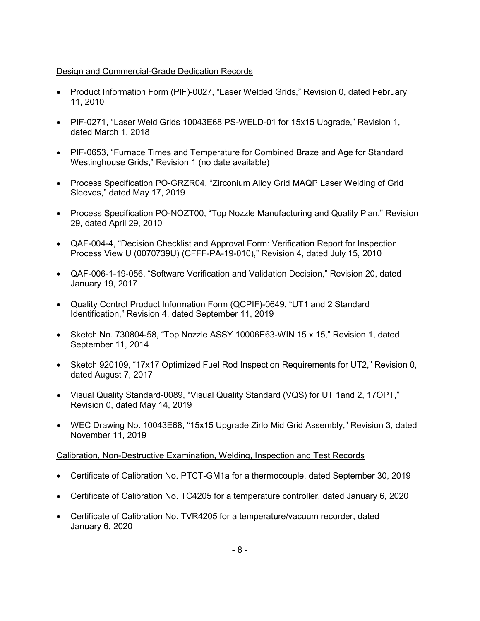### Design and Commercial-Grade Dedication Records

- Product Information Form (PIF)-0027, "Laser Welded Grids," Revision 0, dated February 11, 2010
- PIF-0271, "Laser Weld Grids 10043E68 PS-WELD-01 for 15x15 Upgrade," Revision 1, dated March 1, 2018
- PIF-0653, "Furnace Times and Temperature for Combined Braze and Age for Standard Westinghouse Grids," Revision 1 (no date available)
- Process Specification PO-GRZR04, "Zirconium Alloy Grid MAQP Laser Welding of Grid Sleeves," dated May 17, 2019
- Process Specification PO-NOZT00, "Top Nozzle Manufacturing and Quality Plan," Revision 29, dated April 29, 2010
- QAF-004-4, "Decision Checklist and Approval Form: Verification Report for Inspection Process View U (0070739U) (CFFF-PA-19-010)," Revision 4, dated July 15, 2010
- QAF-006-1-19-056, "Software Verification and Validation Decision," Revision 20, dated January 19, 2017
- Quality Control Product Information Form (QCPIF)-0649, "UT1 and 2 Standard Identification," Revision 4, dated September 11, 2019
- Sketch No. 730804-58, "Top Nozzle ASSY 10006E63-WIN 15 x 15," Revision 1, dated September 11, 2014
- Sketch 920109, "17x17 Optimized Fuel Rod Inspection Requirements for UT2," Revision 0, dated August 7, 2017
- Visual Quality Standard-0089, "Visual Quality Standard (VQS) for UT 1and 2, 17OPT," Revision 0, dated May 14, 2019
- WEC Drawing No. 10043E68, "15x15 Upgrade Zirlo Mid Grid Assembly," Revision 3, dated November 11, 2019

# Calibration, Non-Destructive Examination, Welding, Inspection and Test Records

- Certificate of Calibration No. PTCT-GM1a for a thermocouple, dated September 30, 2019
- Certificate of Calibration No. TC4205 for a temperature controller, dated January 6, 2020
- Certificate of Calibration No. TVR4205 for a temperature/vacuum recorder, dated January 6, 2020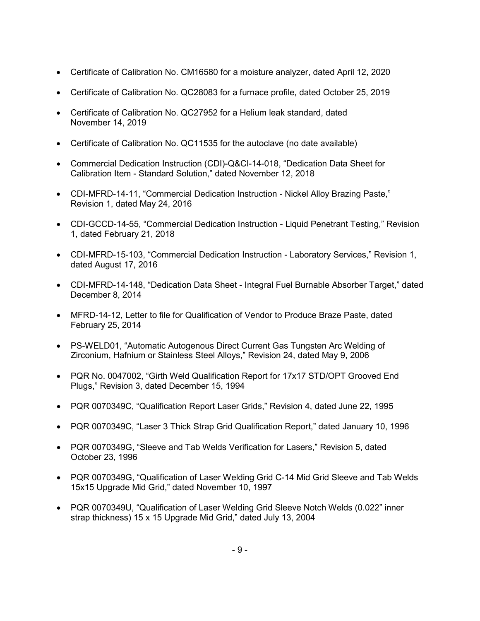- Certificate of Calibration No. CM16580 for a moisture analyzer, dated April 12, 2020
- Certificate of Calibration No. QC28083 for a furnace profile, dated October 25, 2019
- Certificate of Calibration No. QC27952 for a Helium leak standard, dated November 14, 2019
- Certificate of Calibration No. QC11535 for the autoclave (no date available)
- Commercial Dedication Instruction (CDI)-Q&CI-14-018, "Dedication Data Sheet for Calibration Item - Standard Solution," dated November 12, 2018
- CDI-MFRD-14-11, "Commercial Dedication Instruction Nickel Alloy Brazing Paste," Revision 1, dated May 24, 2016
- CDI-GCCD-14-55, "Commercial Dedication Instruction Liquid Penetrant Testing," Revision 1, dated February 21, 2018
- CDI-MFRD-15-103, "Commercial Dedication Instruction Laboratory Services," Revision 1, dated August 17, 2016
- CDI-MFRD-14-148, "Dedication Data Sheet Integral Fuel Burnable Absorber Target," dated December 8, 2014
- MFRD-14-12, Letter to file for Qualification of Vendor to Produce Braze Paste, dated February 25, 2014
- PS-WELD01, "Automatic Autogenous Direct Current Gas Tungsten Arc Welding of Zirconium, Hafnium or Stainless Steel Alloys," Revision 24, dated May 9, 2006
- PQR No. 0047002, "Girth Weld Qualification Report for 17x17 STD/OPT Grooved End Plugs," Revision 3, dated December 15, 1994
- PQR 0070349C, "Qualification Report Laser Grids," Revision 4, dated June 22, 1995
- PQR 0070349C, "Laser 3 Thick Strap Grid Qualification Report," dated January 10, 1996
- PQR 0070349G, "Sleeve and Tab Welds Verification for Lasers," Revision 5, dated October 23, 1996
- PQR 0070349G, "Qualification of Laser Welding Grid C-14 Mid Grid Sleeve and Tab Welds 15x15 Upgrade Mid Grid," dated November 10, 1997
- PQR 0070349U, "Qualification of Laser Welding Grid Sleeve Notch Welds (0.022" inner strap thickness) 15 x 15 Upgrade Mid Grid," dated July 13, 2004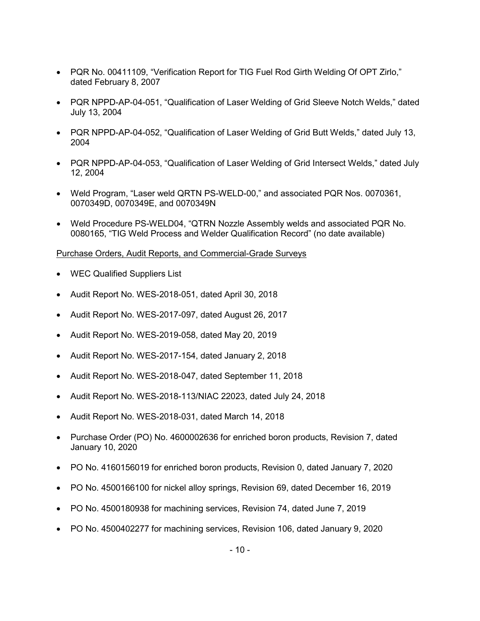- PQR No. 00411109, "Verification Report for TIG Fuel Rod Girth Welding Of OPT Zirlo," dated February 8, 2007
- PQR NPPD-AP-04-051, "Qualification of Laser Welding of Grid Sleeve Notch Welds," dated July 13, 2004
- PQR NPPD-AP-04-052, "Qualification of Laser Welding of Grid Butt Welds," dated July 13, 2004
- PQR NPPD-AP-04-053, "Qualification of Laser Welding of Grid Intersect Welds," dated July 12, 2004
- Weld Program, "Laser weld QRTN PS-WELD-00," and associated PQR Nos. 0070361, 0070349D, 0070349E, and 0070349N
- Weld Procedure PS-WELD04, "QTRN Nozzle Assembly welds and associated PQR No. 0080165, "TIG Weld Process and Welder Qualification Record" (no date available)

#### Purchase Orders, Audit Reports, and Commercial-Grade Surveys

- WEC Qualified Suppliers List
- Audit Report No. WES-2018-051, dated April 30, 2018
- Audit Report No. WES-2017-097, dated August 26, 2017
- Audit Report No. WES-2019-058, dated May 20, 2019
- Audit Report No. WES-2017-154, dated January 2, 2018
- Audit Report No. WES-2018-047, dated September 11, 2018
- Audit Report No. WES-2018-113/NIAC 22023, dated July 24, 2018
- Audit Report No. WES-2018-031, dated March 14, 2018
- Purchase Order (PO) No. 4600002636 for enriched boron products, Revision 7, dated January 10, 2020
- PO No. 4160156019 for enriched boron products, Revision 0, dated January 7, 2020
- PO No. 4500166100 for nickel alloy springs, Revision 69, dated December 16, 2019
- PO No. 4500180938 for machining services, Revision 74, dated June 7, 2019
- PO No. 4500402277 for machining services, Revision 106, dated January 9, 2020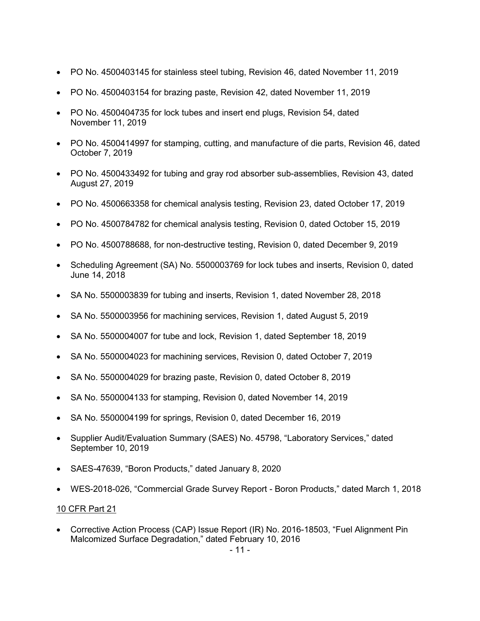- PO No. 4500403145 for stainless steel tubing, Revision 46, dated November 11, 2019
- PO No. 4500403154 for brazing paste, Revision 42, dated November 11, 2019
- PO No. 4500404735 for lock tubes and insert end plugs, Revision 54, dated November 11, 2019
- PO No. 4500414997 for stamping, cutting, and manufacture of die parts, Revision 46, dated October 7, 2019
- PO No. 4500433492 for tubing and gray rod absorber sub-assemblies, Revision 43, dated August 27, 2019
- PO No. 4500663358 for chemical analysis testing, Revision 23, dated October 17, 2019
- PO No. 4500784782 for chemical analysis testing, Revision 0, dated October 15, 2019
- PO No. 4500788688, for non-destructive testing, Revision 0, dated December 9, 2019
- Scheduling Agreement (SA) No. 5500003769 for lock tubes and inserts, Revision 0, dated June 14, 2018
- SA No. 5500003839 for tubing and inserts, Revision 1, dated November 28, 2018
- SA No. 5500003956 for machining services, Revision 1, dated August 5, 2019
- SA No. 5500004007 for tube and lock, Revision 1, dated September 18, 2019
- SA No. 5500004023 for machining services, Revision 0, dated October 7, 2019
- SA No. 5500004029 for brazing paste, Revision 0, dated October 8, 2019
- SA No. 5500004133 for stamping, Revision 0, dated November 14, 2019
- SA No. 5500004199 for springs, Revision 0, dated December 16, 2019
- Supplier Audit/Evaluation Summary (SAES) No. 45798, "Laboratory Services," dated September 10, 2019
- SAES-47639, "Boron Products," dated January 8, 2020
- WES-2018-026, "Commercial Grade Survey Report Boron Products," dated March 1, 2018

#### 10 CFR Part 21

• Corrective Action Process (CAP) Issue Report (IR) No. 2016-18503, "Fuel Alignment Pin Malcomized Surface Degradation," dated February 10, 2016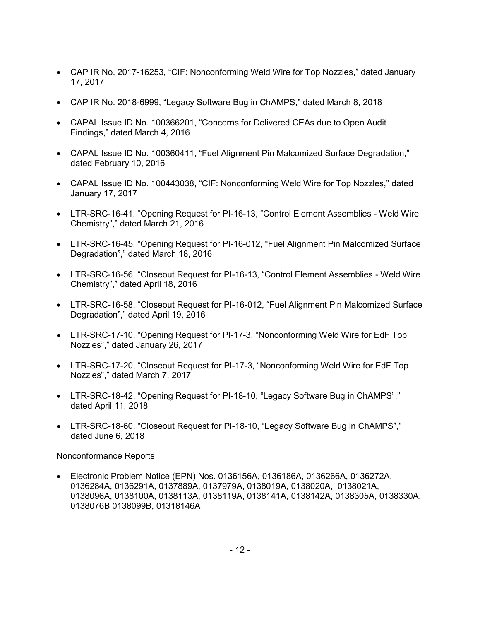- CAP IR No. 2017-16253, "CIF: Nonconforming Weld Wire for Top Nozzles," dated January 17, 2017
- CAP IR No. 2018-6999, "Legacy Software Bug in ChAMPS," dated March 8, 2018
- CAPAL Issue ID No. 100366201, "Concerns for Delivered CEAs due to Open Audit Findings," dated March 4, 2016
- CAPAL Issue ID No. 100360411, "Fuel Alignment Pin Malcomized Surface Degradation," dated February 10, 2016
- CAPAL Issue ID No. 100443038, "CIF: Nonconforming Weld Wire for Top Nozzles," dated January 17, 2017
- LTR-SRC-16-41, "Opening Request for PI-16-13, "Control Element Assemblies Weld Wire Chemistry"," dated March 21, 2016
- LTR-SRC-16-45, "Opening Request for PI-16-012, "Fuel Alignment Pin Malcomized Surface Degradation"," dated March 18, 2016
- LTR-SRC-16-56, "Closeout Request for PI-16-13, "Control Element Assemblies Weld Wire Chemistry"," dated April 18, 2016
- LTR-SRC-16-58, "Closeout Request for PI-16-012, "Fuel Alignment Pin Malcomized Surface Degradation"," dated April 19, 2016
- LTR-SRC-17-10, "Opening Request for PI-17-3, "Nonconforming Weld Wire for EdF Top Nozzles"," dated January 26, 2017
- LTR-SRC-17-20, "Closeout Request for PI-17-3, "Nonconforming Weld Wire for EdF Top Nozzles"," dated March 7, 2017
- LTR-SRC-18-42, "Opening Request for PI-18-10, "Legacy Software Bug in ChAMPS"," dated April 11, 2018
- LTR-SRC-18-60, "Closeout Request for PI-18-10, "Legacy Software Bug in ChAMPS"," dated June 6, 2018

# Nonconformance Reports

• Electronic Problem Notice (EPN) Nos. 0136156A, 0136186A, 0136266A, 0136272A, 0136284A, 0136291A, 0137889A, 0137979A, 0138019A, 0138020A, 0138021A, 0138096A, 0138100A, 0138113A, 0138119A, 0138141A, 0138142A, 0138305A, 0138330A, 0138076B 0138099B, 01318146A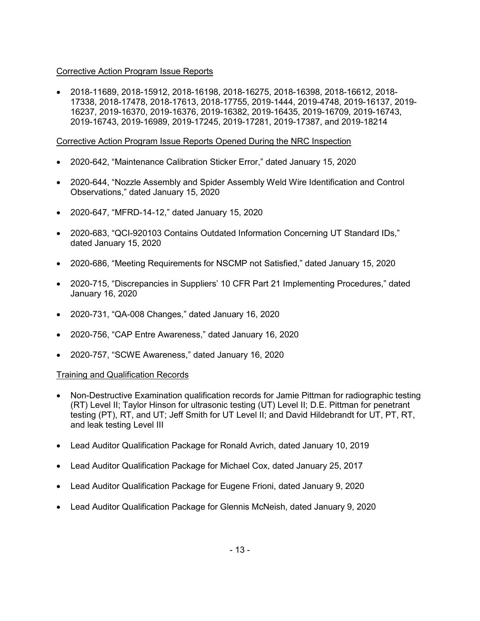### Corrective Action Program Issue Reports

• 2018-11689, 2018-15912, 2018-16198, 2018-16275, 2018-16398, 2018-16612, 2018- 17338, 2018-17478, 2018-17613, 2018-17755, 2019-1444, 2019-4748, 2019-16137, 2019- 16237, 2019-16370, 2019-16376, 2019-16382, 2019-16435, 2019-16709, 2019-16743, 2019-16743, 2019-16989, 2019-17245, 2019-17281, 2019-17387, and 2019-18214

### Corrective Action Program Issue Reports Opened During the NRC Inspection

- 2020-642, "Maintenance Calibration Sticker Error," dated January 15, 2020
- 2020-644, "Nozzle Assembly and Spider Assembly Weld Wire Identification and Control Observations," dated January 15, 2020
- 2020-647, "MFRD-14-12," dated January 15, 2020
- 2020-683, "QCI-920103 Contains Outdated Information Concerning UT Standard IDs," dated January 15, 2020
- 2020-686, "Meeting Requirements for NSCMP not Satisfied," dated January 15, 2020
- 2020-715, "Discrepancies in Suppliers' 10 CFR Part 21 Implementing Procedures," dated January 16, 2020
- 2020-731, "QA-008 Changes," dated January 16, 2020
- 2020-756, "CAP Entre Awareness," dated January 16, 2020
- 2020-757, "SCWE Awareness," dated January 16, 2020

# Training and Qualification Records

- Non-Destructive Examination qualification records for Jamie Pittman for radiographic testing (RT) Level II; Taylor Hinson for ultrasonic testing (UT) Level II; D.E. Pittman for penetrant testing (PT), RT, and UT; Jeff Smith for UT Level II; and David Hildebrandt for UT, PT, RT, and leak testing Level III
- Lead Auditor Qualification Package for Ronald Avrich, dated January 10, 2019
- Lead Auditor Qualification Package for Michael Cox, dated January 25, 2017
- Lead Auditor Qualification Package for Eugene Frioni, dated January 9, 2020
- Lead Auditor Qualification Package for Glennis McNeish, dated January 9, 2020